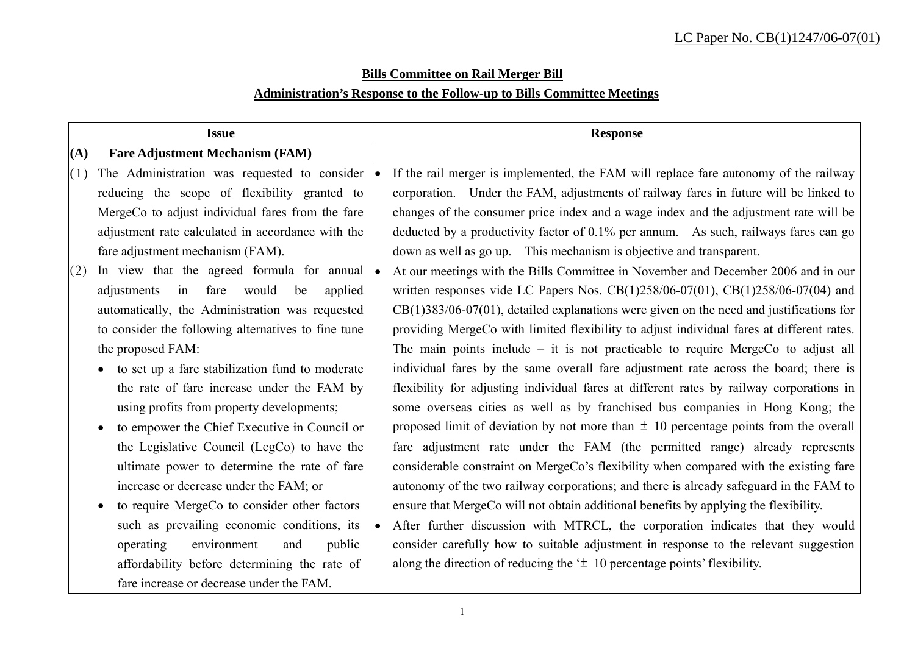# **Bills Committee on Rail Merger Bill**

## **Administration's Response to the Follow-up to Bills Committee Meetings**

|     | <b>Issue</b>                                                 | <b>Response</b>                                                                            |  |  |
|-----|--------------------------------------------------------------|--------------------------------------------------------------------------------------------|--|--|
| (A) | <b>Fare Adjustment Mechanism (FAM)</b>                       |                                                                                            |  |  |
| (1) | The Administration was requested to consider<br>l.           | If the rail merger is implemented, the FAM will replace fare autonomy of the railway       |  |  |
|     | reducing the scope of flexibility granted to                 | corporation. Under the FAM, adjustments of railway fares in future will be linked to       |  |  |
|     | MergeCo to adjust individual fares from the fare             | changes of the consumer price index and a wage index and the adjustment rate will be       |  |  |
|     | adjustment rate calculated in accordance with the            | deducted by a productivity factor of 0.1% per annum. As such, railways fares can go        |  |  |
|     | fare adjustment mechanism (FAM).                             | down as well as go up. This mechanism is objective and transparent.                        |  |  |
| (2) | In view that the agreed formula for annual<br>$\bullet$      | At our meetings with the Bills Committee in November and December 2006 and in our          |  |  |
|     | in fare would<br>be<br>applied<br>adjustments                | written responses vide LC Papers Nos. CB(1)258/06-07(01), CB(1)258/06-07(04) and           |  |  |
|     | automatically, the Administration was requested              | $CB(1)383/06-07(01)$ , detailed explanations were given on the need and justifications for |  |  |
|     | to consider the following alternatives to fine tune          | providing MergeCo with limited flexibility to adjust individual fares at different rates.  |  |  |
|     | the proposed FAM:                                            | The main points include $-$ it is not practicable to require MergeCo to adjust all         |  |  |
|     | to set up a fare stabilization fund to moderate<br>$\bullet$ | individual fares by the same overall fare adjustment rate across the board; there is       |  |  |
|     | the rate of fare increase under the FAM by                   | flexibility for adjusting individual fares at different rates by railway corporations in   |  |  |
|     | using profits from property developments;                    | some overseas cities as well as by franchised bus companies in Hong Kong; the              |  |  |
|     | to empower the Chief Executive in Council or                 | proposed limit of deviation by not more than $\pm$ 10 percentage points from the overall   |  |  |
|     | the Legislative Council (LegCo) to have the                  | fare adjustment rate under the FAM (the permitted range) already represents                |  |  |
|     | ultimate power to determine the rate of fare                 | considerable constraint on MergeCo's flexibility when compared with the existing fare      |  |  |
|     | increase or decrease under the FAM; or                       | autonomy of the two railway corporations; and there is already safeguard in the FAM to     |  |  |
|     | to require MergeCo to consider other factors                 | ensure that MergeCo will not obtain additional benefits by applying the flexibility.       |  |  |
|     | such as prevailing economic conditions, its                  | After further discussion with MTRCL, the corporation indicates that they would             |  |  |
|     | public<br>operating<br>environment<br>and                    | consider carefully how to suitable adjustment in response to the relevant suggestion       |  |  |
|     | affordability before determining the rate of                 | along the direction of reducing the $\pm$ 10 percentage points' flexibility.               |  |  |
|     | fare increase or decrease under the FAM.                     |                                                                                            |  |  |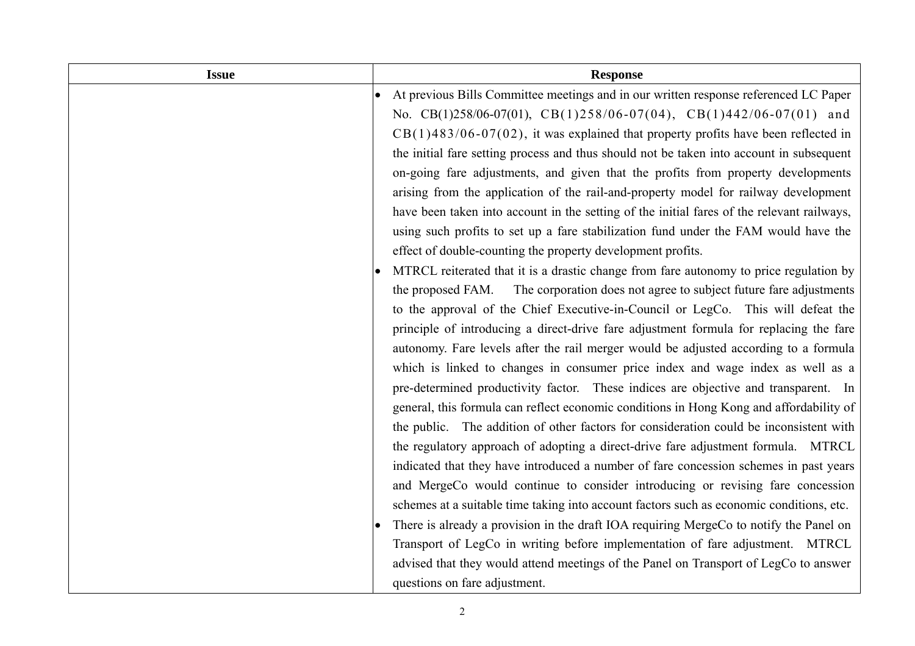| <b>Issue</b> | <b>Response</b>                                                                                     |
|--------------|-----------------------------------------------------------------------------------------------------|
|              | At previous Bills Committee meetings and in our written response referenced LC Paper                |
|              | No. CB(1)258/06-07(01), CB(1)258/06-07(04), CB(1)442/06-07(01) and                                  |
|              | $CB(1)483/06-07(02)$ , it was explained that property profits have been reflected in                |
|              | the initial fare setting process and thus should not be taken into account in subsequent            |
|              | on-going fare adjustments, and given that the profits from property developments                    |
|              | arising from the application of the rail-and-property model for railway development                 |
|              | have been taken into account in the setting of the initial fares of the relevant railways,          |
|              | using such profits to set up a fare stabilization fund under the FAM would have the                 |
|              | effect of double-counting the property development profits.                                         |
|              | MTRCL reiterated that it is a drastic change from fare autonomy to price regulation by<br>$\bullet$ |
|              | the proposed FAM.<br>The corporation does not agree to subject future fare adjustments              |
|              | to the approval of the Chief Executive-in-Council or LegCo. This will defeat the                    |
|              | principle of introducing a direct-drive fare adjustment formula for replacing the fare              |
|              | autonomy. Fare levels after the rail merger would be adjusted according to a formula                |
|              | which is linked to changes in consumer price index and wage index as well as a                      |
|              | pre-determined productivity factor. These indices are objective and transparent. In                 |
|              | general, this formula can reflect economic conditions in Hong Kong and affordability of             |
|              | the public. The addition of other factors for consideration could be inconsistent with              |
|              | the regulatory approach of adopting a direct-drive fare adjustment formula. MTRCL                   |
|              | indicated that they have introduced a number of fare concession schemes in past years               |
|              | and MergeCo would continue to consider introducing or revising fare concession                      |
|              | schemes at a suitable time taking into account factors such as economic conditions, etc.            |
|              | There is already a provision in the draft IOA requiring MergeCo to notify the Panel on<br>$\bullet$ |
|              | Transport of LegCo in writing before implementation of fare adjustment. MTRCL                       |
|              | advised that they would attend meetings of the Panel on Transport of LegCo to answer                |
|              | questions on fare adjustment.                                                                       |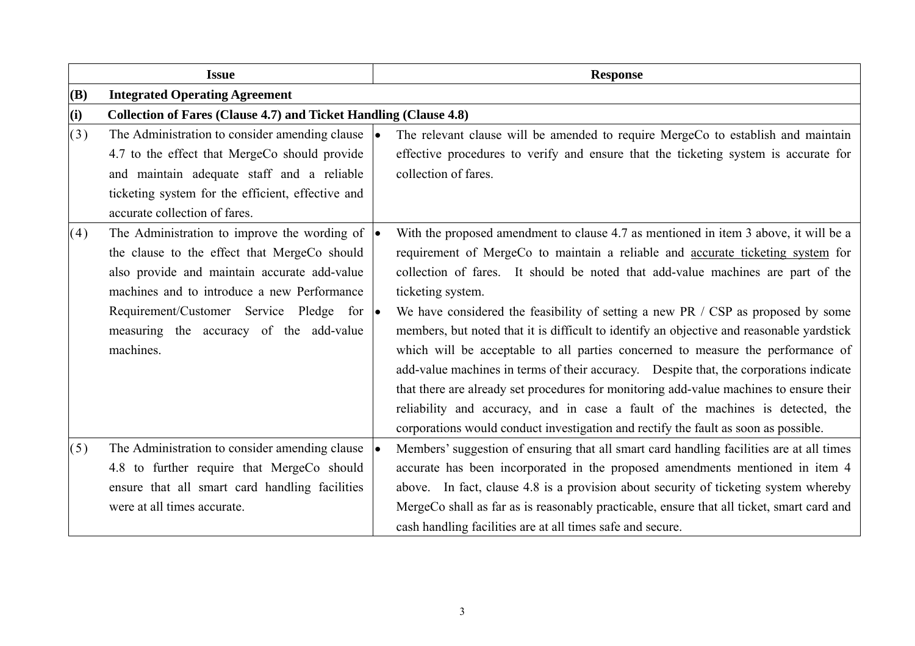|     | <b>Issue</b>                                                      |     | <b>Response</b>                                                                           |
|-----|-------------------------------------------------------------------|-----|-------------------------------------------------------------------------------------------|
| (B) | <b>Integrated Operating Agreement</b>                             |     |                                                                                           |
| (i) | Collection of Fares (Clause 4.7) and Ticket Handling (Clause 4.8) |     |                                                                                           |
| (3) | The Administration to consider amending clause                    | le. | The relevant clause will be amended to require MergeCo to establish and maintain          |
|     | 4.7 to the effect that MergeCo should provide                     |     | effective procedures to verify and ensure that the ticketing system is accurate for       |
|     | and maintain adequate staff and a reliable                        |     | collection of fares.                                                                      |
|     | ticketing system for the efficient, effective and                 |     |                                                                                           |
|     | accurate collection of fares.                                     |     |                                                                                           |
| (4) | The Administration to improve the wording of                      |     | With the proposed amendment to clause 4.7 as mentioned in item 3 above, it will be a      |
|     | the clause to the effect that MergeCo should                      |     | requirement of MergeCo to maintain a reliable and accurate ticketing system for           |
|     | also provide and maintain accurate add-value                      |     | collection of fares. It should be noted that add-value machines are part of the           |
|     | machines and to introduce a new Performance                       |     | ticketing system.                                                                         |
|     | Requirement/Customer Service Pledge for                           |     | We have considered the feasibility of setting a new PR / CSP as proposed by some          |
|     | measuring the accuracy of the add-value                           |     | members, but noted that it is difficult to identify an objective and reasonable yardstick |
|     | machines.                                                         |     | which will be acceptable to all parties concerned to measure the performance of           |
|     |                                                                   |     | add-value machines in terms of their accuracy. Despite that, the corporations indicate    |
|     |                                                                   |     | that there are already set procedures for monitoring add-value machines to ensure their   |
|     |                                                                   |     | reliability and accuracy, and in case a fault of the machines is detected, the            |
|     |                                                                   |     | corporations would conduct investigation and rectify the fault as soon as possible.       |
| (5) | The Administration to consider amending clause                    |     | Members' suggestion of ensuring that all smart card handling facilities are at all times  |
|     | 4.8 to further require that MergeCo should                        |     | accurate has been incorporated in the proposed amendments mentioned in item 4             |
|     | ensure that all smart card handling facilities                    |     | above. In fact, clause 4.8 is a provision about security of ticketing system whereby      |
|     | were at all times accurate.                                       |     | MergeCo shall as far as is reasonably practicable, ensure that all ticket, smart card and |
|     |                                                                   |     | cash handling facilities are at all times safe and secure.                                |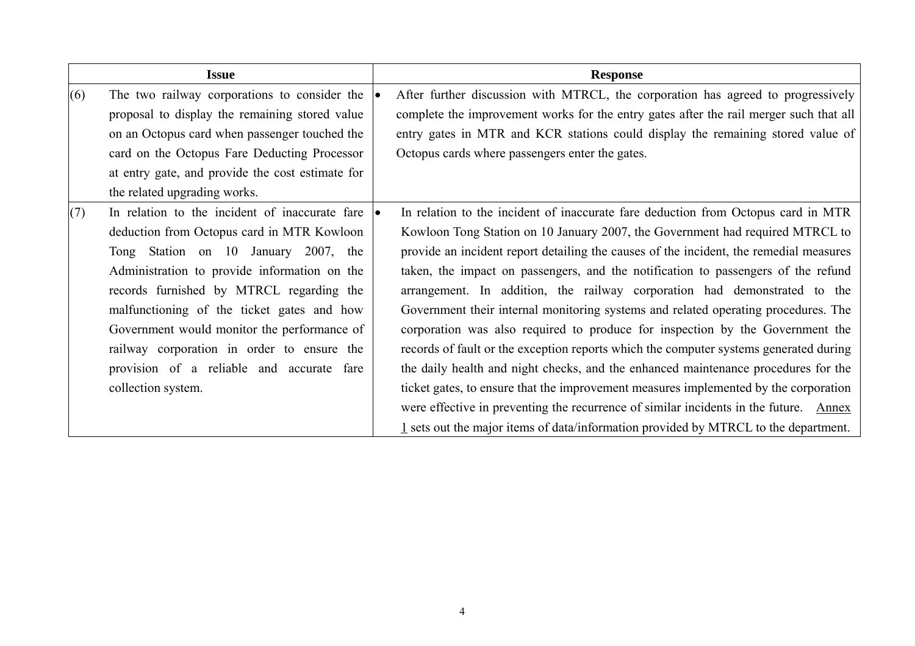|     | <b>Issue</b>                                                         | <b>Response</b>                                                                                 |
|-----|----------------------------------------------------------------------|-------------------------------------------------------------------------------------------------|
| (6) | The two railway corporations to consider the $  \bullet  $           | After further discussion with MTRCL, the corporation has agreed to progressively                |
|     | proposal to display the remaining stored value                       | complete the improvement works for the entry gates after the rail merger such that all          |
|     | on an Octopus card when passenger touched the                        | entry gates in MTR and KCR stations could display the remaining stored value of                 |
|     | card on the Octopus Fare Deducting Processor                         | Octopus cards where passengers enter the gates.                                                 |
|     | at entry gate, and provide the cost estimate for                     |                                                                                                 |
|     | the related upgrading works.                                         |                                                                                                 |
| (7) | In relation to the incident of inaccurate fare $\vert \bullet \vert$ | In relation to the incident of inaccurate fare deduction from Octopus card in MTR               |
|     | deduction from Octopus card in MTR Kowloon                           | Kowloon Tong Station on 10 January 2007, the Government had required MTRCL to                   |
|     | Tong Station on 10 January 2007, the                                 | provide an incident report detailing the causes of the incident, the remedial measures          |
|     | Administration to provide information on the                         | taken, the impact on passengers, and the notification to passengers of the refund               |
|     | records furnished by MTRCL regarding the                             | arrangement. In addition, the railway corporation had demonstrated to the                       |
|     | malfunctioning of the ticket gates and how                           | Government their internal monitoring systems and related operating procedures. The              |
|     | Government would monitor the performance of                          | corporation was also required to produce for inspection by the Government the                   |
|     | railway corporation in order to ensure the                           | records of fault or the exception reports which the computer systems generated during           |
|     | provision of a reliable and accurate fare                            | the daily health and night checks, and the enhanced maintenance procedures for the              |
|     | collection system.                                                   | ticket gates, to ensure that the improvement measures implemented by the corporation            |
|     |                                                                      | were effective in preventing the recurrence of similar incidents in the future. Annex           |
|     |                                                                      | $\frac{1}{2}$ sets out the major items of data/information provided by MTRCL to the department. |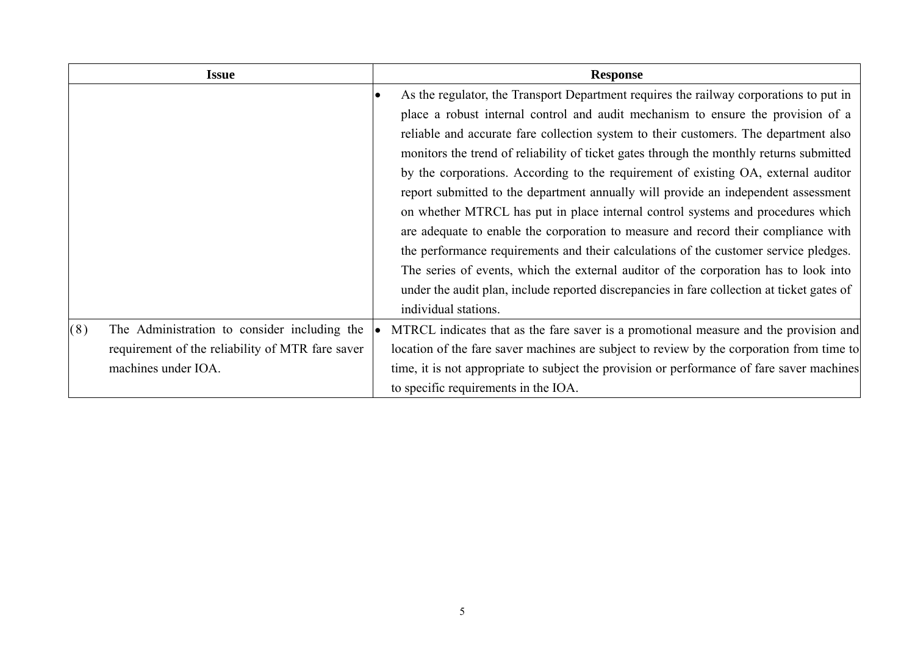|     | <b>Issue</b>                                     | <b>Response</b>                                                                            |
|-----|--------------------------------------------------|--------------------------------------------------------------------------------------------|
|     |                                                  | As the regulator, the Transport Department requires the railway corporations to put in     |
|     |                                                  | place a robust internal control and audit mechanism to ensure the provision of a           |
|     |                                                  | reliable and accurate fare collection system to their customers. The department also       |
|     |                                                  | monitors the trend of reliability of ticket gates through the monthly returns submitted    |
|     |                                                  | by the corporations. According to the requirement of existing OA, external auditor         |
|     |                                                  | report submitted to the department annually will provide an independent assessment         |
|     |                                                  | on whether MTRCL has put in place internal control systems and procedures which            |
|     |                                                  | are adequate to enable the corporation to measure and record their compliance with         |
|     |                                                  | the performance requirements and their calculations of the customer service pledges.       |
|     |                                                  | The series of events, which the external auditor of the corporation has to look into       |
|     |                                                  | under the audit plan, include reported discrepancies in fare collection at ticket gates of |
|     |                                                  | individual stations.                                                                       |
| (8) | The Administration to consider including the     | MTRCL indicates that as the fare saver is a promotional measure and the provision and      |
|     | requirement of the reliability of MTR fare saver | location of the fare saver machines are subject to review by the corporation from time to  |
|     | machines under IOA.                              | time, it is not appropriate to subject the provision or performance of fare saver machines |
|     |                                                  | to specific requirements in the IOA.                                                       |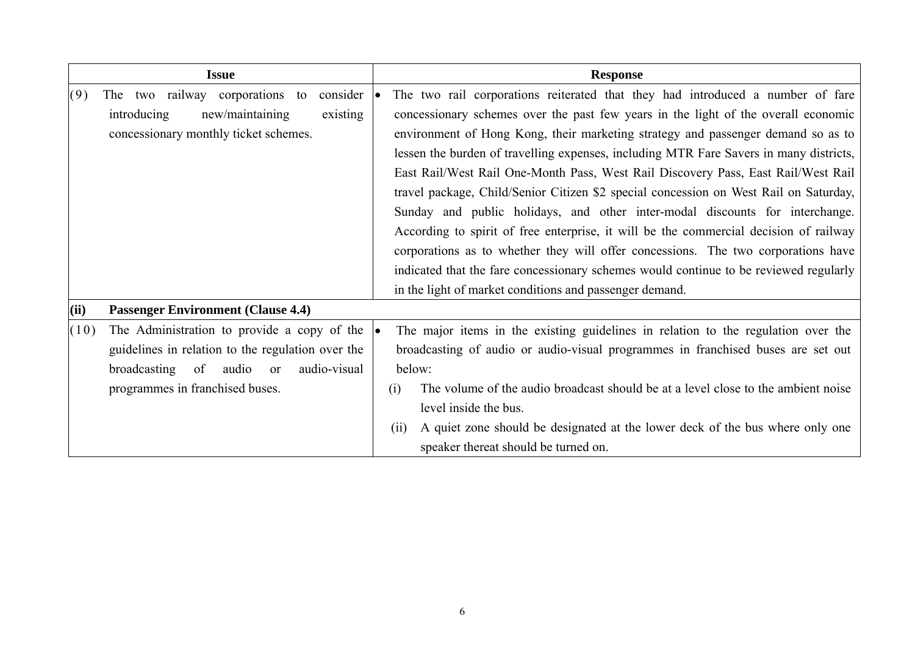| <b>Issue</b> |                                                           |           | <b>Response</b>                                                                          |
|--------------|-----------------------------------------------------------|-----------|------------------------------------------------------------------------------------------|
| (9)          | The two railway corporations to<br>consider               | $\bullet$ | The two rail corporations reiterated that they had introduced a number of fare           |
|              | introducing<br>new/maintaining<br>existing                |           | concessionary schemes over the past few years in the light of the overall economic       |
|              | concessionary monthly ticket schemes.                     |           | environment of Hong Kong, their marketing strategy and passenger demand so as to         |
|              |                                                           |           | lessen the burden of travelling expenses, including MTR Fare Savers in many districts,   |
|              |                                                           |           | East Rail/West Rail One-Month Pass, West Rail Discovery Pass, East Rail/West Rail        |
|              |                                                           |           | travel package, Child/Senior Citizen \$2 special concession on West Rail on Saturday,    |
|              |                                                           |           | Sunday and public holidays, and other inter-modal discounts for interchange.             |
|              |                                                           |           | According to spirit of free enterprise, it will be the commercial decision of railway    |
|              |                                                           |           | corporations as to whether they will offer concessions. The two corporations have        |
|              |                                                           |           | indicated that the fare concessionary schemes would continue to be reviewed regularly    |
|              |                                                           |           | in the light of market conditions and passenger demand.                                  |
| (ii)         | <b>Passenger Environment (Clause 4.4)</b>                 |           |                                                                                          |
| (10)         | The Administration to provide a copy of the               | lo        | The major items in the existing guidelines in relation to the regulation over the        |
|              | guidelines in relation to the regulation over the         |           | broadcasting of audio or audio-visual programmes in franchised buses are set out         |
|              | broadcasting of<br>audio<br>audio-visual<br><sub>or</sub> |           | below:                                                                                   |
|              | programmes in franchised buses.                           |           | The volume of the audio broadcast should be at a level close to the ambient noise<br>(i) |
|              |                                                           |           | level inside the bus.                                                                    |
|              |                                                           |           | A quiet zone should be designated at the lower deck of the bus where only one<br>(11)    |
|              |                                                           |           | speaker thereat should be turned on.                                                     |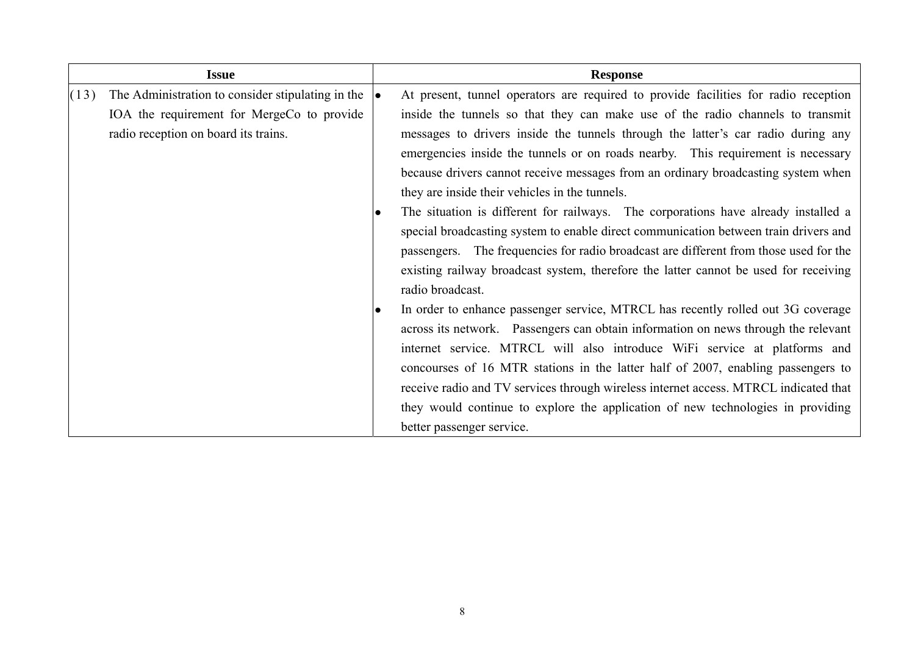|      | <b>Issue</b>                                      |           | <b>Response</b>                                                                       |
|------|---------------------------------------------------|-----------|---------------------------------------------------------------------------------------|
| (13) | The Administration to consider stipulating in the |           | At present, tunnel operators are required to provide facilities for radio reception   |
|      | IOA the requirement for MergeCo to provide        |           | inside the tunnels so that they can make use of the radio channels to transmit        |
|      | radio reception on board its trains.              |           | messages to drivers inside the tunnels through the latter's car radio during any      |
|      |                                                   |           | emergencies inside the tunnels or on roads nearby. This requirement is necessary      |
|      |                                                   |           | because drivers cannot receive messages from an ordinary broadcasting system when     |
|      |                                                   |           | they are inside their vehicles in the tunnels.                                        |
|      |                                                   | $\bullet$ | The situation is different for railways. The corporations have already installed a    |
|      |                                                   |           | special broadcasting system to enable direct communication between train drivers and  |
|      |                                                   |           | passengers. The frequencies for radio broadcast are different from those used for the |
|      |                                                   |           | existing railway broadcast system, therefore the latter cannot be used for receiving  |
|      |                                                   |           | radio broadcast.                                                                      |
|      |                                                   | $\bullet$ | In order to enhance passenger service, MTRCL has recently rolled out 3G coverage      |
|      |                                                   |           | across its network. Passengers can obtain information on news through the relevant    |
|      |                                                   |           | internet service. MTRCL will also introduce WiFi service at platforms and             |
|      |                                                   |           | concourses of 16 MTR stations in the latter half of 2007, enabling passengers to      |
|      |                                                   |           | receive radio and TV services through wireless internet access. MTRCL indicated that  |
|      |                                                   |           | they would continue to explore the application of new technologies in providing       |
|      |                                                   |           | better passenger service.                                                             |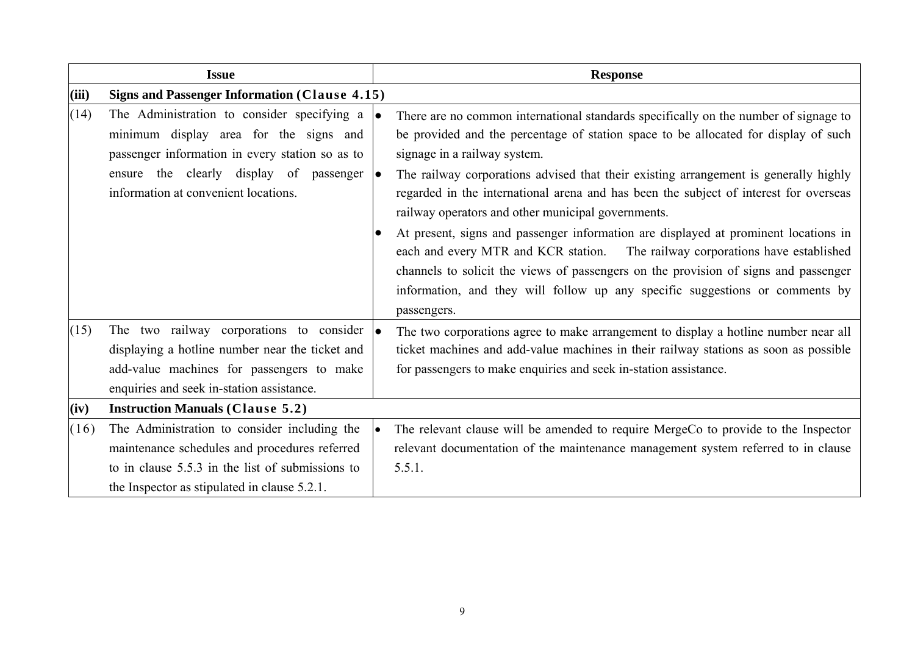|       | <b>Issue</b>                                                                                                                                                                                                                             | <b>Response</b>                                                                                                                                                                                                                                                                                                                                                                                                                                                                                                                                                                                                                                                                                                                                                                                      |  |  |
|-------|------------------------------------------------------------------------------------------------------------------------------------------------------------------------------------------------------------------------------------------|------------------------------------------------------------------------------------------------------------------------------------------------------------------------------------------------------------------------------------------------------------------------------------------------------------------------------------------------------------------------------------------------------------------------------------------------------------------------------------------------------------------------------------------------------------------------------------------------------------------------------------------------------------------------------------------------------------------------------------------------------------------------------------------------------|--|--|
| (iii) | <b>Signs and Passenger Information (Clause 4.15)</b>                                                                                                                                                                                     |                                                                                                                                                                                                                                                                                                                                                                                                                                                                                                                                                                                                                                                                                                                                                                                                      |  |  |
| (14)  | The Administration to consider specifying a<br>lo<br>minimum display area for the signs and<br>passenger information in every station so as to<br>ensure the clearly display of passenger<br>le.<br>information at convenient locations. | There are no common international standards specifically on the number of signage to<br>be provided and the percentage of station space to be allocated for display of such<br>signage in a railway system.<br>The railway corporations advised that their existing arrangement is generally highly<br>regarded in the international arena and has been the subject of interest for overseas<br>railway operators and other municipal governments.<br>At present, signs and passenger information are displayed at prominent locations in<br>each and every MTR and KCR station.<br>The railway corporations have established<br>channels to solicit the views of passengers on the provision of signs and passenger<br>information, and they will follow up any specific suggestions or comments by |  |  |
|       |                                                                                                                                                                                                                                          | passengers.                                                                                                                                                                                                                                                                                                                                                                                                                                                                                                                                                                                                                                                                                                                                                                                          |  |  |
| (15)  | The two railway corporations to consider $\bullet$<br>displaying a hotline number near the ticket and<br>add-value machines for passengers to make<br>enquiries and seek in-station assistance.                                          | The two corporations agree to make arrangement to display a hotline number near all<br>ticket machines and add-value machines in their railway stations as soon as possible<br>for passengers to make enquiries and seek in-station assistance.                                                                                                                                                                                                                                                                                                                                                                                                                                                                                                                                                      |  |  |
| (iv)  | <b>Instruction Manuals (Clause 5.2)</b>                                                                                                                                                                                                  |                                                                                                                                                                                                                                                                                                                                                                                                                                                                                                                                                                                                                                                                                                                                                                                                      |  |  |
| (16)  | The Administration to consider including the<br>maintenance schedules and procedures referred<br>to in clause 5.5.3 in the list of submissions to<br>the Inspector as stipulated in clause 5.2.1.                                        | The relevant clause will be amended to require MergeCo to provide to the Inspector<br>relevant documentation of the maintenance management system referred to in clause<br>5.5.1.                                                                                                                                                                                                                                                                                                                                                                                                                                                                                                                                                                                                                    |  |  |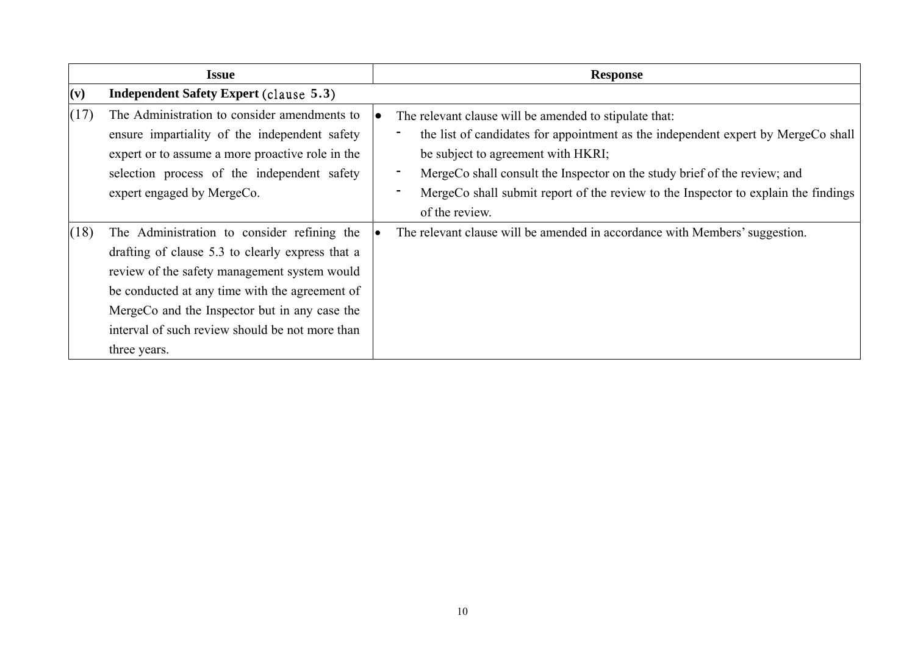|      | <b>Issue</b>                                                                                                                                                                                                                                                                                                          | <b>Response</b>                                                                                                                                                                                                                                                                                                                                                                     |
|------|-----------------------------------------------------------------------------------------------------------------------------------------------------------------------------------------------------------------------------------------------------------------------------------------------------------------------|-------------------------------------------------------------------------------------------------------------------------------------------------------------------------------------------------------------------------------------------------------------------------------------------------------------------------------------------------------------------------------------|
| (v)  | <b>Independent Safety Expert (clause 5.3)</b>                                                                                                                                                                                                                                                                         |                                                                                                                                                                                                                                                                                                                                                                                     |
| (17) | The Administration to consider amendments to<br>ensure impartiality of the independent safety<br>expert or to assume a more proactive role in the<br>selection process of the independent safety<br>expert engaged by MergeCo.                                                                                        | The relevant clause will be amended to stipulate that:<br>$\bullet$<br>the list of candidates for appointment as the independent expert by MergeCo shall<br>be subject to agreement with HKRI;<br>MergeCo shall consult the Inspector on the study brief of the review; and<br>MergeCo shall submit report of the review to the Inspector to explain the findings<br>of the review. |
| (18) | The Administration to consider refining the<br>drafting of clause 5.3 to clearly express that a<br>review of the safety management system would<br>be conducted at any time with the agreement of<br>MergeCo and the Inspector but in any case the<br>interval of such review should be not more than<br>three years. | The relevant clause will be amended in accordance with Members' suggestion.                                                                                                                                                                                                                                                                                                         |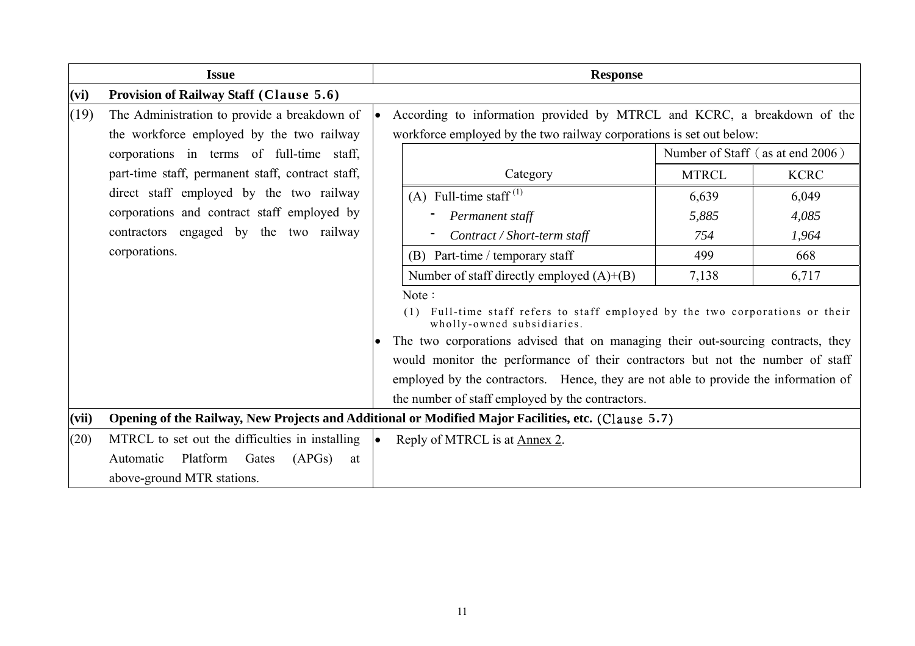|       | <b>Issue</b>                                                                                        |     | <b>Response</b>                                                                                                                                                                                                                                                                                                                                                                                                                          |              |                                  |
|-------|-----------------------------------------------------------------------------------------------------|-----|------------------------------------------------------------------------------------------------------------------------------------------------------------------------------------------------------------------------------------------------------------------------------------------------------------------------------------------------------------------------------------------------------------------------------------------|--------------|----------------------------------|
| (vi)  | <b>Provision of Railway Staff (Clause 5.6)</b>                                                      |     |                                                                                                                                                                                                                                                                                                                                                                                                                                          |              |                                  |
| (19)  | The Administration to provide a breakdown of                                                        | l e | According to information provided by MTRCL and KCRC, a breakdown of the                                                                                                                                                                                                                                                                                                                                                                  |              |                                  |
|       | the workforce employed by the two railway                                                           |     | workforce employed by the two railway corporations is set out below:                                                                                                                                                                                                                                                                                                                                                                     |              |                                  |
|       | corporations in terms of full-time staff,                                                           |     |                                                                                                                                                                                                                                                                                                                                                                                                                                          |              | Number of Staff (as at end 2006) |
|       | part-time staff, permanent staff, contract staff,<br>direct staff employed by the two railway       |     | Category                                                                                                                                                                                                                                                                                                                                                                                                                                 | <b>MTRCL</b> | <b>KCRC</b>                      |
|       |                                                                                                     |     | (A) Full-time staff <sup>(1)</sup>                                                                                                                                                                                                                                                                                                                                                                                                       | 6,639        | 6,049                            |
|       | corporations and contract staff employed by                                                         |     | Permanent staff                                                                                                                                                                                                                                                                                                                                                                                                                          | 5,885        | 4,085                            |
|       | contractors engaged by the two railway                                                              |     | Contract / Short-term staff                                                                                                                                                                                                                                                                                                                                                                                                              | 754          | 1,964                            |
|       | corporations.                                                                                       |     | (B) Part-time / temporary staff                                                                                                                                                                                                                                                                                                                                                                                                          | 499          | 668                              |
|       |                                                                                                     |     | Number of staff directly employed $(A)+(B)$                                                                                                                                                                                                                                                                                                                                                                                              | 7,138        | 6,717                            |
|       |                                                                                                     |     | Note:<br>Full-time staff refers to staff employed by the two corporations or their<br>(1)<br>wholly-owned subsidiaries.<br>The two corporations advised that on managing their out-sourcing contracts, they<br>would monitor the performance of their contractors but not the number of staff<br>employed by the contractors. Hence, they are not able to provide the information of<br>the number of staff employed by the contractors. |              |                                  |
| (vii) | Opening of the Railway, New Projects and Additional or Modified Major Facilities, etc. (Clause 5.7) |     |                                                                                                                                                                                                                                                                                                                                                                                                                                          |              |                                  |
| (20)  | MTRCL to set out the difficulties in installing                                                     | le. | Reply of MTRCL is at Annex 2.                                                                                                                                                                                                                                                                                                                                                                                                            |              |                                  |
|       | Platform<br>Automatic<br>Gates<br>(APGs)<br>at                                                      |     |                                                                                                                                                                                                                                                                                                                                                                                                                                          |              |                                  |
|       | above-ground MTR stations.                                                                          |     |                                                                                                                                                                                                                                                                                                                                                                                                                                          |              |                                  |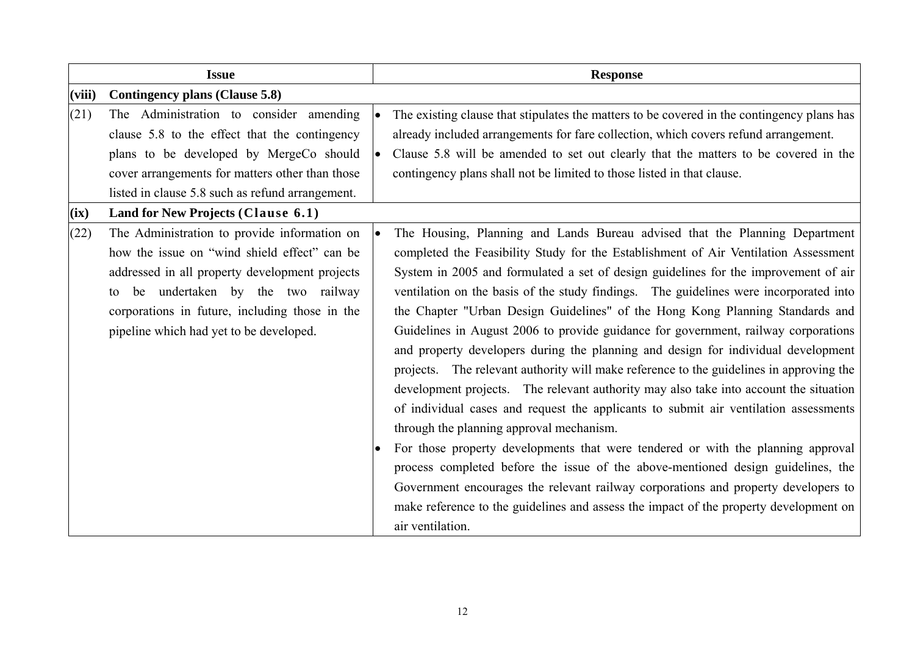|        | <b>Issue</b>                                     |           | <b>Response</b>                                                                            |
|--------|--------------------------------------------------|-----------|--------------------------------------------------------------------------------------------|
| (viii) | Contingency plans (Clause 5.8)                   |           |                                                                                            |
| (21)   | The Administration to consider amending          |           | The existing clause that stipulates the matters to be covered in the contingency plans has |
|        | clause 5.8 to the effect that the contingency    |           | already included arrangements for fare collection, which covers refund arrangement.        |
|        | plans to be developed by MergeCo should          | $\bullet$ | Clause 5.8 will be amended to set out clearly that the matters to be covered in the        |
|        | cover arrangements for matters other than those  |           | contingency plans shall not be limited to those listed in that clause.                     |
|        | listed in clause 5.8 such as refund arrangement. |           |                                                                                            |
| (ix)   | Land for New Projects (Clause 6.1)               |           |                                                                                            |
| (22)   | The Administration to provide information on     |           | The Housing, Planning and Lands Bureau advised that the Planning Department                |
|        | how the issue on "wind shield effect" can be     |           | completed the Feasibility Study for the Establishment of Air Ventilation Assessment        |
|        | addressed in all property development projects   |           | System in 2005 and formulated a set of design guidelines for the improvement of air        |
|        | be undertaken by the two railway<br>to           |           | ventilation on the basis of the study findings. The guidelines were incorporated into      |
|        | corporations in future, including those in the   |           | the Chapter "Urban Design Guidelines" of the Hong Kong Planning Standards and              |
|        | pipeline which had yet to be developed.          |           | Guidelines in August 2006 to provide guidance for government, railway corporations         |
|        |                                                  |           | and property developers during the planning and design for individual development          |
|        |                                                  |           | projects. The relevant authority will make reference to the guidelines in approving the    |
|        |                                                  |           | development projects. The relevant authority may also take into account the situation      |
|        |                                                  |           | of individual cases and request the applicants to submit air ventilation assessments       |
|        |                                                  |           | through the planning approval mechanism.                                                   |
|        |                                                  |           | For those property developments that were tendered or with the planning approval           |
|        |                                                  |           | process completed before the issue of the above-mentioned design guidelines, the           |
|        |                                                  |           | Government encourages the relevant railway corporations and property developers to         |
|        |                                                  |           | make reference to the guidelines and assess the impact of the property development on      |
|        |                                                  |           | air ventilation.                                                                           |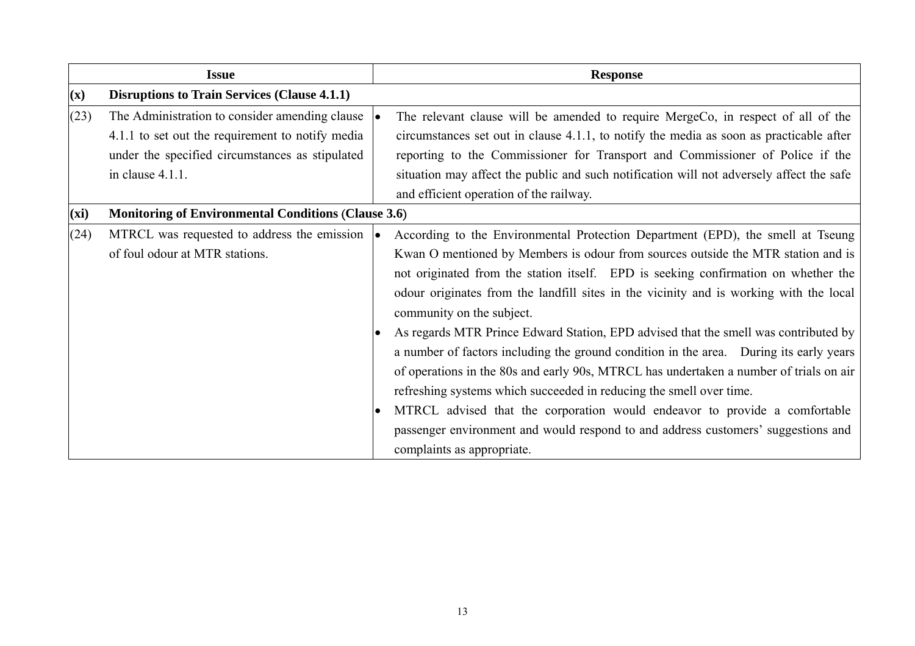| <b>Issue</b>   |                                                            | <b>Response</b>                                                                                                                                                                                                                                                                                                                                                                                                                                                                                                                                 |
|----------------|------------------------------------------------------------|-------------------------------------------------------------------------------------------------------------------------------------------------------------------------------------------------------------------------------------------------------------------------------------------------------------------------------------------------------------------------------------------------------------------------------------------------------------------------------------------------------------------------------------------------|
| $(\mathbf{x})$ | <b>Disruptions to Train Services (Clause 4.1.1)</b>        |                                                                                                                                                                                                                                                                                                                                                                                                                                                                                                                                                 |
| (23)           | The Administration to consider amending clause             | The relevant clause will be amended to require MergeCo, in respect of all of the                                                                                                                                                                                                                                                                                                                                                                                                                                                                |
|                | 4.1.1 to set out the requirement to notify media           | circumstances set out in clause 4.1.1, to notify the media as soon as practicable after                                                                                                                                                                                                                                                                                                                                                                                                                                                         |
|                | under the specified circumstances as stipulated            | reporting to the Commissioner for Transport and Commissioner of Police if the                                                                                                                                                                                                                                                                                                                                                                                                                                                                   |
|                | in clause 4.1.1.                                           | situation may affect the public and such notification will not adversely affect the safe                                                                                                                                                                                                                                                                                                                                                                                                                                                        |
|                |                                                            | and efficient operation of the railway.                                                                                                                                                                                                                                                                                                                                                                                                                                                                                                         |
| (xi)           | <b>Monitoring of Environmental Conditions (Clause 3.6)</b> |                                                                                                                                                                                                                                                                                                                                                                                                                                                                                                                                                 |
| (24)           | MTRCL was requested to address the emission                | According to the Environmental Protection Department (EPD), the smell at Tseung                                                                                                                                                                                                                                                                                                                                                                                                                                                                 |
|                | of foul odour at MTR stations.                             | Kwan O mentioned by Members is odour from sources outside the MTR station and is<br>not originated from the station itself. EPD is seeking confirmation on whether the<br>odour originates from the landfill sites in the vicinity and is working with the local<br>community on the subject.                                                                                                                                                                                                                                                   |
|                |                                                            | As regards MTR Prince Edward Station, EPD advised that the smell was contributed by<br>a number of factors including the ground condition in the area. During its early years<br>of operations in the 80s and early 90s, MTRCL has undertaken a number of trials on air<br>refreshing systems which succeeded in reducing the smell over time.<br>MTRCL advised that the corporation would endeavor to provide a comfortable<br>passenger environment and would respond to and address customers' suggestions and<br>complaints as appropriate. |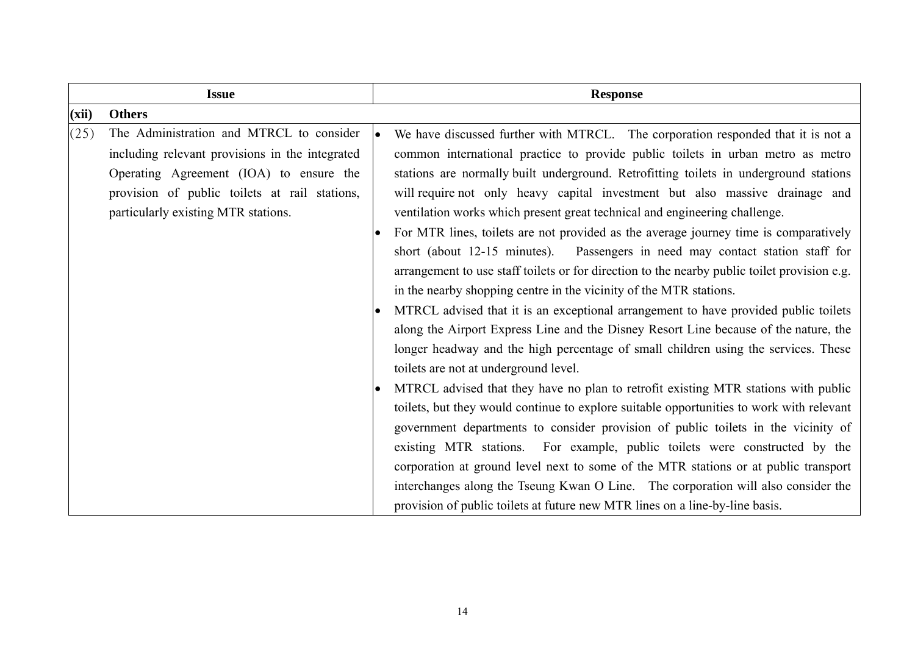|       | <b>Issue</b>                                                                                                                                                                                                                   |    | <b>Response</b>                                                                                                                                                                                                                                                                                                                                                                                                                                                                                                                                                                                                                                                                                                                                                                                                                                                                                                                                                                                                                                                                                                                                                                                                                                                                                                                                                |
|-------|--------------------------------------------------------------------------------------------------------------------------------------------------------------------------------------------------------------------------------|----|----------------------------------------------------------------------------------------------------------------------------------------------------------------------------------------------------------------------------------------------------------------------------------------------------------------------------------------------------------------------------------------------------------------------------------------------------------------------------------------------------------------------------------------------------------------------------------------------------------------------------------------------------------------------------------------------------------------------------------------------------------------------------------------------------------------------------------------------------------------------------------------------------------------------------------------------------------------------------------------------------------------------------------------------------------------------------------------------------------------------------------------------------------------------------------------------------------------------------------------------------------------------------------------------------------------------------------------------------------------|
| (xii) | <b>Others</b>                                                                                                                                                                                                                  |    |                                                                                                                                                                                                                                                                                                                                                                                                                                                                                                                                                                                                                                                                                                                                                                                                                                                                                                                                                                                                                                                                                                                                                                                                                                                                                                                                                                |
| (25)  | The Administration and MTRCL to consider<br>including relevant provisions in the integrated<br>Operating Agreement (IOA) to ensure the<br>provision of public toilets at rail stations,<br>particularly existing MTR stations. | I۰ | We have discussed further with MTRCL. The corporation responded that it is not a<br>common international practice to provide public toilets in urban metro as metro<br>stations are normally built underground. Retrofitting toilets in underground stations<br>will require not only heavy capital investment but also massive drainage and<br>ventilation works which present great technical and engineering challenge.<br>For MTR lines, toilets are not provided as the average journey time is comparatively<br>short (about 12-15 minutes). Passengers in need may contact station staff for<br>arrangement to use staff toilets or for direction to the nearby public toilet provision e.g.<br>in the nearby shopping centre in the vicinity of the MTR stations.<br>MTRCL advised that it is an exceptional arrangement to have provided public toilets<br>along the Airport Express Line and the Disney Resort Line because of the nature, the<br>longer headway and the high percentage of small children using the services. These<br>toilets are not at underground level.<br>MTRCL advised that they have no plan to retrofit existing MTR stations with public<br>toilets, but they would continue to explore suitable opportunities to work with relevant<br>government departments to consider provision of public toilets in the vicinity of |
|       |                                                                                                                                                                                                                                |    | existing MTR stations. For example, public toilets were constructed by the<br>corporation at ground level next to some of the MTR stations or at public transport<br>interchanges along the Tseung Kwan O Line. The corporation will also consider the                                                                                                                                                                                                                                                                                                                                                                                                                                                                                                                                                                                                                                                                                                                                                                                                                                                                                                                                                                                                                                                                                                         |
|       |                                                                                                                                                                                                                                |    | provision of public toilets at future new MTR lines on a line-by-line basis.                                                                                                                                                                                                                                                                                                                                                                                                                                                                                                                                                                                                                                                                                                                                                                                                                                                                                                                                                                                                                                                                                                                                                                                                                                                                                   |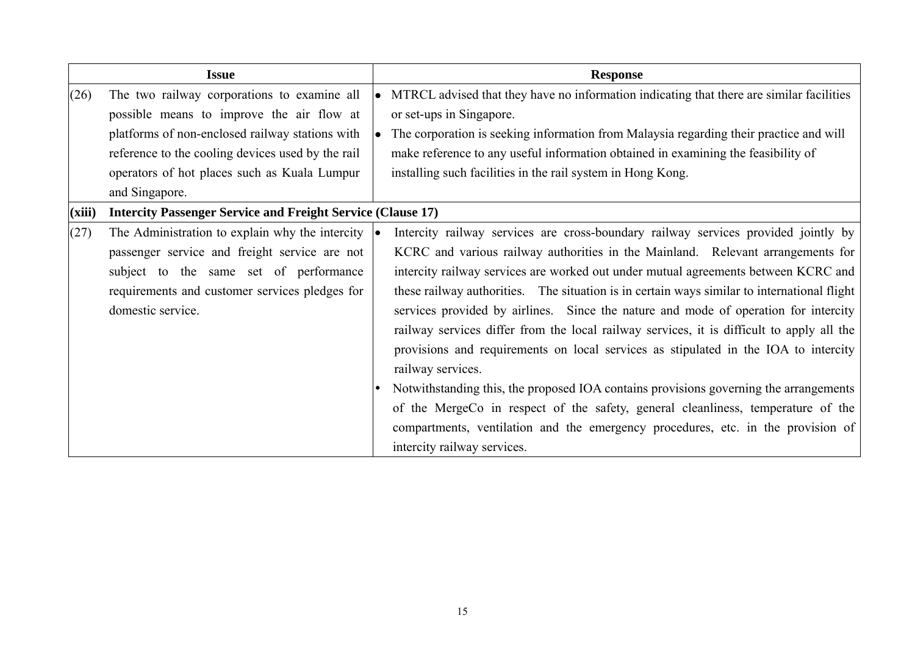|        | <b>Issue</b>                                                       |           | <b>Response</b>                                                                             |
|--------|--------------------------------------------------------------------|-----------|---------------------------------------------------------------------------------------------|
| (26)   | The two railway corporations to examine all                        | $\bullet$ | MTRCL advised that they have no information indicating that there are similar facilities    |
|        | possible means to improve the air flow at                          |           | or set-ups in Singapore.                                                                    |
|        | platforms of non-enclosed railway stations with                    |           | The corporation is seeking information from Malaysia regarding their practice and will      |
|        | reference to the cooling devices used by the rail                  |           | make reference to any useful information obtained in examining the feasibility of           |
|        | operators of hot places such as Kuala Lumpur                       |           | installing such facilities in the rail system in Hong Kong.                                 |
|        | and Singapore.                                                     |           |                                                                                             |
| (xiii) | <b>Intercity Passenger Service and Freight Service (Clause 17)</b> |           |                                                                                             |
| (27)   | The Administration to explain why the intercity $  \bullet  $      |           | Intercity railway services are cross-boundary railway services provided jointly by          |
|        | passenger service and freight service are not                      |           | KCRC and various railway authorities in the Mainland. Relevant arrangements for             |
|        | subject to the same set of performance                             |           | intercity railway services are worked out under mutual agreements between KCRC and          |
|        | requirements and customer services pledges for                     |           | these railway authorities. The situation is in certain ways similar to international flight |
|        | domestic service.                                                  |           | services provided by airlines. Since the nature and mode of operation for intercity         |
|        |                                                                    |           | railway services differ from the local railway services, it is difficult to apply all the   |
|        |                                                                    |           | provisions and requirements on local services as stipulated in the IOA to intercity         |
|        |                                                                    |           | railway services.                                                                           |
|        |                                                                    |           | Notwithstanding this, the proposed IOA contains provisions governing the arrangements       |
|        |                                                                    |           | of the MergeCo in respect of the safety, general cleanliness, temperature of the            |
|        |                                                                    |           | compartments, ventilation and the emergency procedures, etc. in the provision of            |
|        |                                                                    |           | intercity railway services.                                                                 |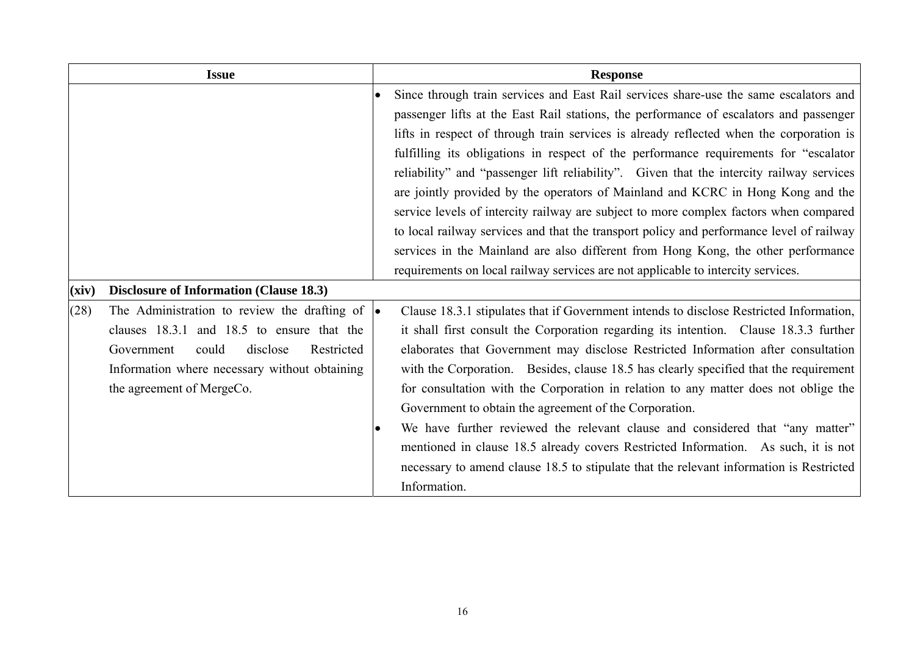| <b>Issue</b>                                                   |            | <b>Response</b>                                                                                                                                                                                                                                                                                                                                                                                                                                                                                                                                                                                                                                                                                                                                                                                                              |
|----------------------------------------------------------------|------------|------------------------------------------------------------------------------------------------------------------------------------------------------------------------------------------------------------------------------------------------------------------------------------------------------------------------------------------------------------------------------------------------------------------------------------------------------------------------------------------------------------------------------------------------------------------------------------------------------------------------------------------------------------------------------------------------------------------------------------------------------------------------------------------------------------------------------|
|                                                                |            | Since through train services and East Rail services share-use the same escalators and<br>passenger lifts at the East Rail stations, the performance of escalators and passenger<br>lifts in respect of through train services is already reflected when the corporation is<br>fulfilling its obligations in respect of the performance requirements for "escalator"<br>reliability" and "passenger lift reliability". Given that the intercity railway services<br>are jointly provided by the operators of Mainland and KCRC in Hong Kong and the<br>service levels of intercity railway are subject to more complex factors when compared<br>to local railway services and that the transport policy and performance level of railway<br>services in the Mainland are also different from Hong Kong, the other performance |
|                                                                |            | requirements on local railway services are not applicable to intercity services.                                                                                                                                                                                                                                                                                                                                                                                                                                                                                                                                                                                                                                                                                                                                             |
| <b>Disclosure of Information (Clause 18.3)</b><br>(xiv)        |            |                                                                                                                                                                                                                                                                                                                                                                                                                                                                                                                                                                                                                                                                                                                                                                                                                              |
| The Administration to review the drafting of $\bullet$<br>(28) |            | Clause 18.3.1 stipulates that if Government intends to disclose Restricted Information,                                                                                                                                                                                                                                                                                                                                                                                                                                                                                                                                                                                                                                                                                                                                      |
| clauses 18.3.1 and 18.5 to ensure that the                     |            | it shall first consult the Corporation regarding its intention. Clause 18.3.3 further                                                                                                                                                                                                                                                                                                                                                                                                                                                                                                                                                                                                                                                                                                                                        |
| disclose<br>could<br>Government                                | Restricted | elaborates that Government may disclose Restricted Information after consultation                                                                                                                                                                                                                                                                                                                                                                                                                                                                                                                                                                                                                                                                                                                                            |
| Information where necessary without obtaining                  |            | with the Corporation. Besides, clause 18.5 has clearly specified that the requirement                                                                                                                                                                                                                                                                                                                                                                                                                                                                                                                                                                                                                                                                                                                                        |
| the agreement of MergeCo.                                      |            | for consultation with the Corporation in relation to any matter does not oblige the                                                                                                                                                                                                                                                                                                                                                                                                                                                                                                                                                                                                                                                                                                                                          |
|                                                                |            | Government to obtain the agreement of the Corporation.                                                                                                                                                                                                                                                                                                                                                                                                                                                                                                                                                                                                                                                                                                                                                                       |
|                                                                |            | We have further reviewed the relevant clause and considered that "any matter"                                                                                                                                                                                                                                                                                                                                                                                                                                                                                                                                                                                                                                                                                                                                                |
|                                                                |            | mentioned in clause 18.5 already covers Restricted Information. As such, it is not                                                                                                                                                                                                                                                                                                                                                                                                                                                                                                                                                                                                                                                                                                                                           |
|                                                                |            | necessary to amend clause 18.5 to stipulate that the relevant information is Restricted                                                                                                                                                                                                                                                                                                                                                                                                                                                                                                                                                                                                                                                                                                                                      |
|                                                                |            | Information.                                                                                                                                                                                                                                                                                                                                                                                                                                                                                                                                                                                                                                                                                                                                                                                                                 |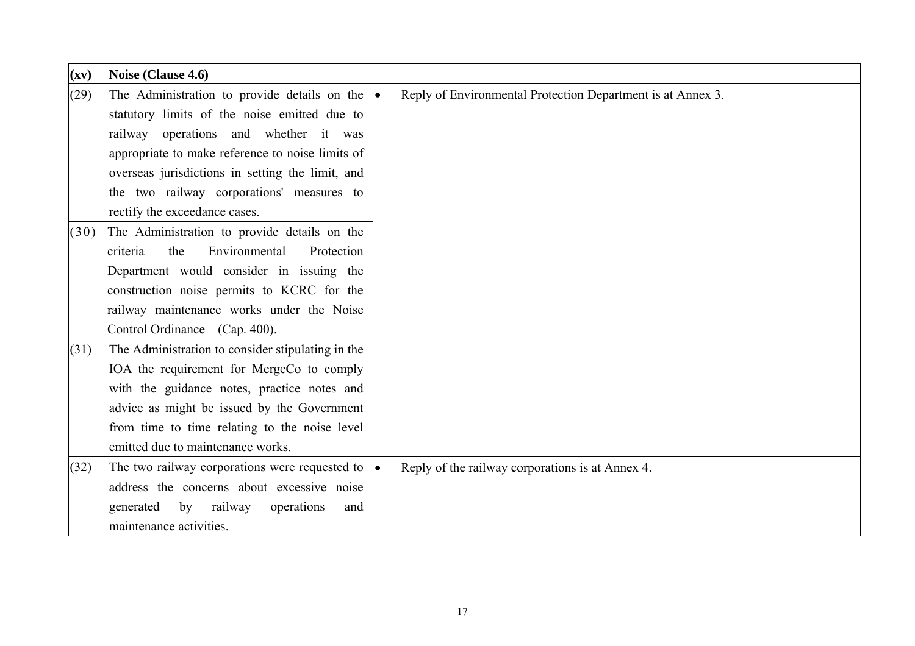| $(\mathbf{x}\mathbf{v})$ | Noise (Clause 4.6)                                                                                                                                                                                                                                                                                                                    |                                                             |
|--------------------------|---------------------------------------------------------------------------------------------------------------------------------------------------------------------------------------------------------------------------------------------------------------------------------------------------------------------------------------|-------------------------------------------------------------|
| (29)                     | The Administration to provide details on the $\bullet$<br>statutory limits of the noise emitted due to<br>railway operations and whether it was<br>appropriate to make reference to noise limits of<br>overseas jurisdictions in setting the limit, and<br>the two railway corporations' measures to<br>rectify the exceedance cases. | Reply of Environmental Protection Department is at Annex 3. |
| (30)                     | The Administration to provide details on the<br>the<br>Environmental<br>Protection<br>criteria<br>Department would consider in issuing the<br>construction noise permits to KCRC for the<br>railway maintenance works under the Noise<br>Control Ordinance (Cap. 400).                                                                |                                                             |
| (31)                     | The Administration to consider stipulating in the<br>IOA the requirement for MergeCo to comply<br>with the guidance notes, practice notes and<br>advice as might be issued by the Government<br>from time to time relating to the noise level<br>emitted due to maintenance works.                                                    |                                                             |
| (32)                     | The two railway corporations were requested to $\bullet$<br>address the concerns about excessive noise<br>generated<br>by<br>railway<br>operations<br>and<br>maintenance activities.                                                                                                                                                  | Reply of the railway corporations is at Annex 4.            |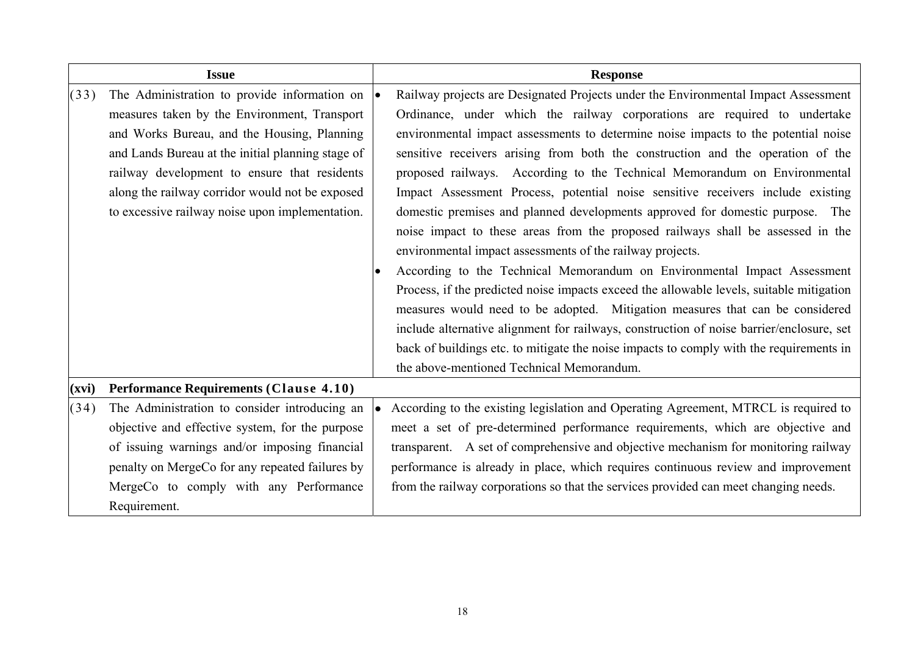|       | <b>Issue</b>                                               |    | <b>Response</b>                                                                          |
|-------|------------------------------------------------------------|----|------------------------------------------------------------------------------------------|
| (33)  | The Administration to provide information on $  \bullet  $ |    | Railway projects are Designated Projects under the Environmental Impact Assessment       |
|       | measures taken by the Environment, Transport               |    | Ordinance, under which the railway corporations are required to undertake                |
|       | and Works Bureau, and the Housing, Planning                |    | environmental impact assessments to determine noise impacts to the potential noise       |
|       | and Lands Bureau at the initial planning stage of          |    | sensitive receivers arising from both the construction and the operation of the          |
|       | railway development to ensure that residents               |    | proposed railways. According to the Technical Memorandum on Environmental                |
|       | along the railway corridor would not be exposed            |    | Impact Assessment Process, potential noise sensitive receivers include existing          |
|       | to excessive railway noise upon implementation.            |    | domestic premises and planned developments approved for domestic purpose. The            |
|       |                                                            |    | noise impact to these areas from the proposed railways shall be assessed in the          |
|       |                                                            |    | environmental impact assessments of the railway projects.                                |
|       |                                                            | lo | According to the Technical Memorandum on Environmental Impact Assessment                 |
|       |                                                            |    | Process, if the predicted noise impacts exceed the allowable levels, suitable mitigation |
|       |                                                            |    | measures would need to be adopted. Mitigation measures that can be considered            |
|       |                                                            |    | include alternative alignment for railways, construction of noise barrier/enclosure, set |
|       |                                                            |    | back of buildings etc. to mitigate the noise impacts to comply with the requirements in  |
|       |                                                            |    | the above-mentioned Technical Memorandum.                                                |
| (xvi) | <b>Performance Requirements (Clause 4.10)</b>              |    |                                                                                          |
| (34)  | The Administration to consider introducing an              |    | According to the existing legislation and Operating Agreement, MTRCL is required to      |
|       | objective and effective system, for the purpose            |    | meet a set of pre-determined performance requirements, which are objective and           |
|       | of issuing warnings and/or imposing financial              |    | transparent. A set of comprehensive and objective mechanism for monitoring railway       |
|       | penalty on MergeCo for any repeated failures by            |    | performance is already in place, which requires continuous review and improvement        |
|       | MergeCo to comply with any Performance                     |    | from the railway corporations so that the services provided can meet changing needs.     |
|       | Requirement.                                               |    |                                                                                          |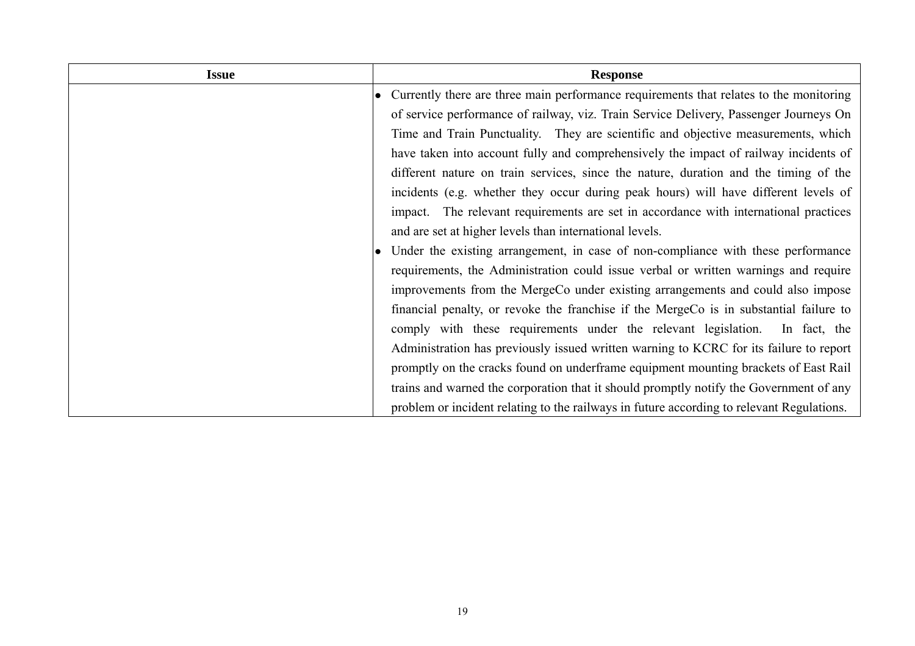| <b>Issue</b> | <b>Response</b>                                                                           |
|--------------|-------------------------------------------------------------------------------------------|
|              | Currently there are three main performance requirements that relates to the monitoring    |
|              | of service performance of railway, viz. Train Service Delivery, Passenger Journeys On     |
|              | Time and Train Punctuality. They are scientific and objective measurements, which         |
|              | have taken into account fully and comprehensively the impact of railway incidents of      |
|              | different nature on train services, since the nature, duration and the timing of the      |
|              | incidents (e.g. whether they occur during peak hours) will have different levels of       |
|              | impact. The relevant requirements are set in accordance with international practices      |
|              | and are set at higher levels than international levels.                                   |
|              | • Under the existing arrangement, in case of non-compliance with these performance        |
|              | requirements, the Administration could issue verbal or written warnings and require       |
|              | improvements from the MergeCo under existing arrangements and could also impose           |
|              | financial penalty, or revoke the franchise if the MergeCo is in substantial failure to    |
|              | comply with these requirements under the relevant legislation.<br>In fact, the            |
|              | Administration has previously issued written warning to KCRC for its failure to report    |
|              | promptly on the cracks found on underframe equipment mounting brackets of East Rail       |
|              | trains and warned the corporation that it should promptly notify the Government of any    |
|              | problem or incident relating to the railways in future according to relevant Regulations. |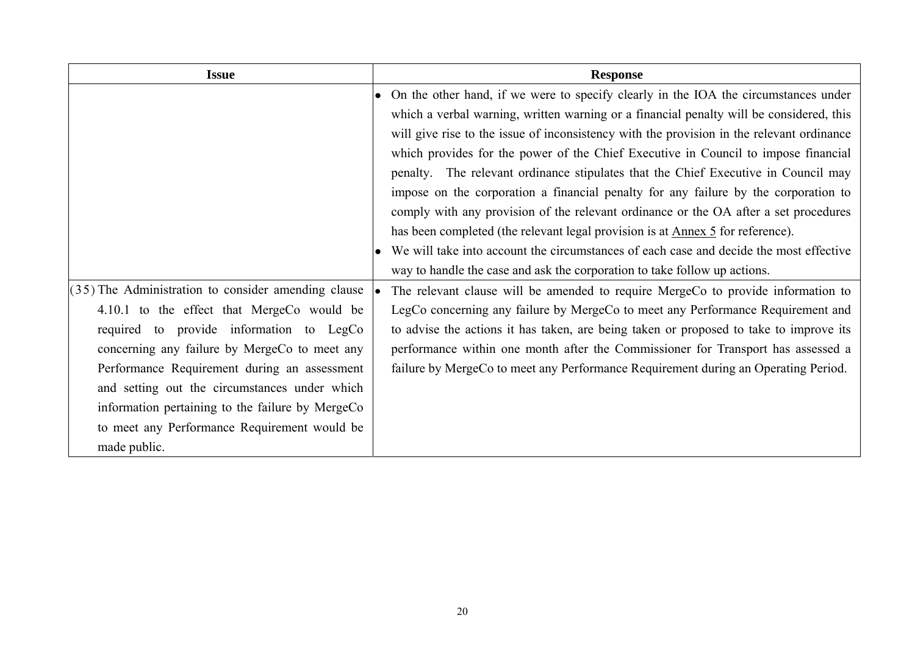| <b>Issue</b>                                                                                                                                                                                     | <b>Response</b>                                                                                                                                                                                                                                                                                                                                                                                                                                                                                                                                                                                                                                                                                                                                                                                                                                                                                                                                                                                                                                                                                                                                                                                                                                                          |
|--------------------------------------------------------------------------------------------------------------------------------------------------------------------------------------------------|--------------------------------------------------------------------------------------------------------------------------------------------------------------------------------------------------------------------------------------------------------------------------------------------------------------------------------------------------------------------------------------------------------------------------------------------------------------------------------------------------------------------------------------------------------------------------------------------------------------------------------------------------------------------------------------------------------------------------------------------------------------------------------------------------------------------------------------------------------------------------------------------------------------------------------------------------------------------------------------------------------------------------------------------------------------------------------------------------------------------------------------------------------------------------------------------------------------------------------------------------------------------------|
| $(35)$ The Administration to consider amending clause<br>4.10.1 to the effect that MergeCo would be<br>required to provide information to LegCo<br>concerning any failure by MergeCo to meet any | On the other hand, if we were to specify clearly in the IOA the circumstances under<br>$\bullet$<br>which a verbal warning, written warning or a financial penalty will be considered, this<br>will give rise to the issue of inconsistency with the provision in the relevant ordinance<br>which provides for the power of the Chief Executive in Council to impose financial<br>penalty. The relevant ordinance stipulates that the Chief Executive in Council may<br>impose on the corporation a financial penalty for any failure by the corporation to<br>comply with any provision of the relevant ordinance or the OA after a set procedures<br>has been completed (the relevant legal provision is at <u>Annex 5</u> for reference).<br>We will take into account the circumstances of each case and decide the most effective<br>way to handle the case and ask the corporation to take follow up actions.<br>The relevant clause will be amended to require MergeCo to provide information to<br>LegCo concerning any failure by MergeCo to meet any Performance Requirement and<br>to advise the actions it has taken, are being taken or proposed to take to improve its<br>performance within one month after the Commissioner for Transport has assessed a |
| Performance Requirement during an assessment                                                                                                                                                     | failure by MergeCo to meet any Performance Requirement during an Operating Period.                                                                                                                                                                                                                                                                                                                                                                                                                                                                                                                                                                                                                                                                                                                                                                                                                                                                                                                                                                                                                                                                                                                                                                                       |
| and setting out the circumstances under which                                                                                                                                                    |                                                                                                                                                                                                                                                                                                                                                                                                                                                                                                                                                                                                                                                                                                                                                                                                                                                                                                                                                                                                                                                                                                                                                                                                                                                                          |
| information pertaining to the failure by MergeCo                                                                                                                                                 |                                                                                                                                                                                                                                                                                                                                                                                                                                                                                                                                                                                                                                                                                                                                                                                                                                                                                                                                                                                                                                                                                                                                                                                                                                                                          |
| to meet any Performance Requirement would be                                                                                                                                                     |                                                                                                                                                                                                                                                                                                                                                                                                                                                                                                                                                                                                                                                                                                                                                                                                                                                                                                                                                                                                                                                                                                                                                                                                                                                                          |
| made public.                                                                                                                                                                                     |                                                                                                                                                                                                                                                                                                                                                                                                                                                                                                                                                                                                                                                                                                                                                                                                                                                                                                                                                                                                                                                                                                                                                                                                                                                                          |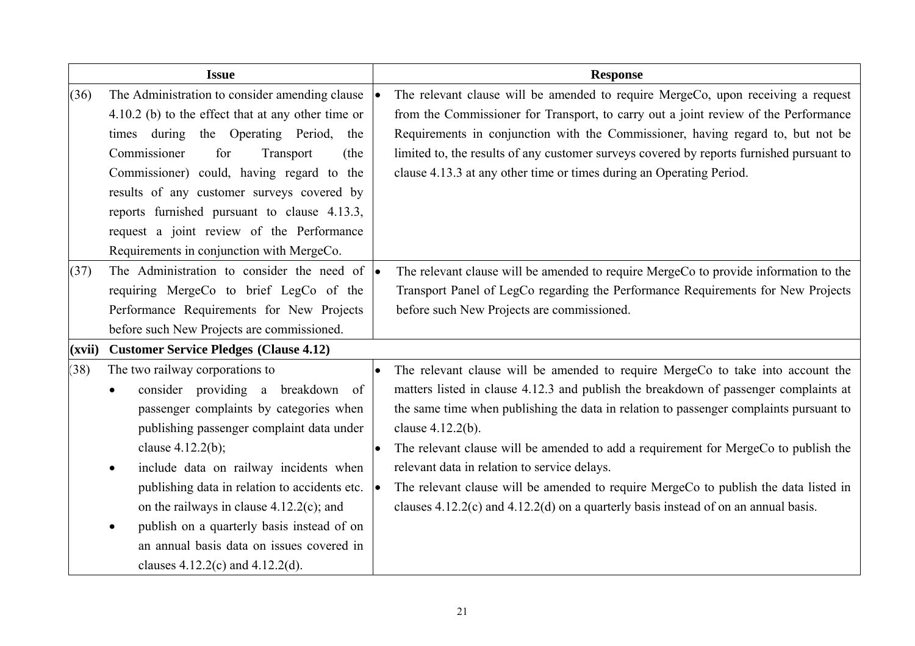|        | <b>Issue</b>                                            |           | <b>Response</b>                                                                          |
|--------|---------------------------------------------------------|-----------|------------------------------------------------------------------------------------------|
| (36)   | The Administration to consider amending clause          |           | The relevant clause will be amended to require MergeCo, upon receiving a request         |
|        | $4.10.2$ (b) to the effect that at any other time or    |           | from the Commissioner for Transport, to carry out a joint review of the Performance      |
|        | times during the Operating Period,<br>the               |           | Requirements in conjunction with the Commissioner, having regard to, but not be          |
|        | Commissioner<br>for<br>Transport<br>(the                |           | limited to, the results of any customer surveys covered by reports furnished pursuant to |
|        | Commissioner) could, having regard to the               |           | clause 4.13.3 at any other time or times during an Operating Period.                     |
|        | results of any customer surveys covered by              |           |                                                                                          |
|        | reports furnished pursuant to clause 4.13.3,            |           |                                                                                          |
|        | request a joint review of the Performance               |           |                                                                                          |
|        | Requirements in conjunction with MergeCo.               |           |                                                                                          |
| (37)   | The Administration to consider the need of $\bullet$    |           | The relevant clause will be amended to require MergeCo to provide information to the     |
|        | requiring MergeCo to brief LegCo of the                 |           | Transport Panel of LegCo regarding the Performance Requirements for New Projects         |
|        | Performance Requirements for New Projects               |           | before such New Projects are commissioned.                                               |
|        | before such New Projects are commissioned.              |           |                                                                                          |
| (xvii) | <b>Customer Service Pledges (Clause 4.12)</b>           |           |                                                                                          |
| (38)   | The two railway corporations to                         |           | The relevant clause will be amended to require MergeCo to take into account the          |
|        | consider providing a breakdown of                       |           | matters listed in clause 4.12.3 and publish the breakdown of passenger complaints at     |
|        | passenger complaints by categories when                 |           | the same time when publishing the data in relation to passenger complaints pursuant to   |
|        | publishing passenger complaint data under               |           | clause 4.12.2(b).                                                                        |
|        | clause $4.12.2(b)$ ;                                    | $\bullet$ | The relevant clause will be amended to add a requirement for MergeCo to publish the      |
|        | include data on railway incidents when<br>$\bullet$     |           | relevant data in relation to service delays.                                             |
|        | publishing data in relation to accidents etc. $\bullet$ |           | The relevant clause will be amended to require MergeCo to publish the data listed in     |
|        | on the railways in clause $4.12.2(c)$ ; and             |           | clauses $4.12.2(c)$ and $4.12.2(d)$ on a quarterly basis instead of on an annual basis.  |
|        | publish on a quarterly basis instead of on<br>$\bullet$ |           |                                                                                          |
|        | an annual basis data on issues covered in               |           |                                                                                          |
|        | clauses $4.12.2(c)$ and $4.12.2(d)$ .                   |           |                                                                                          |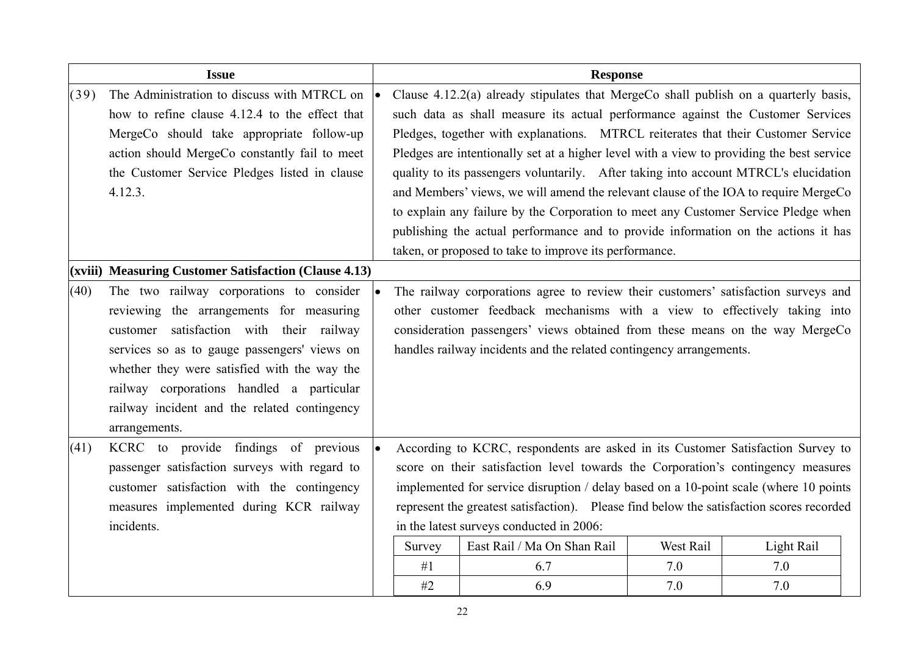|      | <b>Issue</b>                                                                                                                                                                                                                                                                                                                                   |    |                    | <b>Response</b>                                                                                                                                                                                                                                                                                                                                                                                                                                                                                                                                                                                                                                                                                                        |                         |                          |  |
|------|------------------------------------------------------------------------------------------------------------------------------------------------------------------------------------------------------------------------------------------------------------------------------------------------------------------------------------------------|----|--------------------|------------------------------------------------------------------------------------------------------------------------------------------------------------------------------------------------------------------------------------------------------------------------------------------------------------------------------------------------------------------------------------------------------------------------------------------------------------------------------------------------------------------------------------------------------------------------------------------------------------------------------------------------------------------------------------------------------------------------|-------------------------|--------------------------|--|
| (39) | The Administration to discuss with MTRCL on<br>how to refine clause 4.12.4 to the effect that<br>MergeCo should take appropriate follow-up<br>action should MergeCo constantly fail to meet<br>the Customer Service Pledges listed in clause<br>4.12.3.                                                                                        |    |                    | Clause $4.12.2(a)$ already stipulates that MergeCo shall publish on a quarterly basis,<br>such data as shall measure its actual performance against the Customer Services<br>Pledges, together with explanations. MTRCL reiterates that their Customer Service<br>Pledges are intentionally set at a higher level with a view to providing the best service<br>quality to its passengers voluntarily. After taking into account MTRCL's elucidation<br>and Members' views, we will amend the relevant clause of the IOA to require MergeCo<br>to explain any failure by the Corporation to meet any Customer Service Pledge when<br>publishing the actual performance and to provide information on the actions it has |                         |                          |  |
|      |                                                                                                                                                                                                                                                                                                                                                |    |                    | taken, or proposed to take to improve its performance.                                                                                                                                                                                                                                                                                                                                                                                                                                                                                                                                                                                                                                                                 |                         |                          |  |
|      | (xviii) Measuring Customer Satisfaction (Clause 4.13)                                                                                                                                                                                                                                                                                          |    |                    |                                                                                                                                                                                                                                                                                                                                                                                                                                                                                                                                                                                                                                                                                                                        |                         |                          |  |
| (40) | The two railway corporations to consider<br>reviewing the arrangements for measuring<br>customer satisfaction with their railway<br>services so as to gauge passengers' views on<br>whether they were satisfied with the way the<br>railway corporations handled a particular<br>railway incident and the related contingency<br>arrangements. | lo |                    | The railway corporations agree to review their customers' satisfaction surveys and<br>other customer feedback mechanisms with a view to effectively taking into<br>consideration passengers' views obtained from these means on the way MergeCo<br>handles railway incidents and the related contingency arrangements.                                                                                                                                                                                                                                                                                                                                                                                                 |                         |                          |  |
| (41) | KCRC to provide findings of previous<br>passenger satisfaction surveys with regard to<br>customer satisfaction with the contingency<br>measures implemented during KCR railway<br>incidents.                                                                                                                                                   |    | Survey<br>#1<br>#2 | According to KCRC, respondents are asked in its Customer Satisfaction Survey to<br>score on their satisfaction level towards the Corporation's contingency measures<br>implemented for service disruption / delay based on a 10-point scale (where 10 points<br>represent the greatest satisfaction). Please find below the satisfaction scores recorded<br>in the latest surveys conducted in 2006:<br>East Rail / Ma On Shan Rail<br>6.7<br>6.9                                                                                                                                                                                                                                                                      | West Rail<br>7.0<br>7.0 | Light Rail<br>7.0<br>7.0 |  |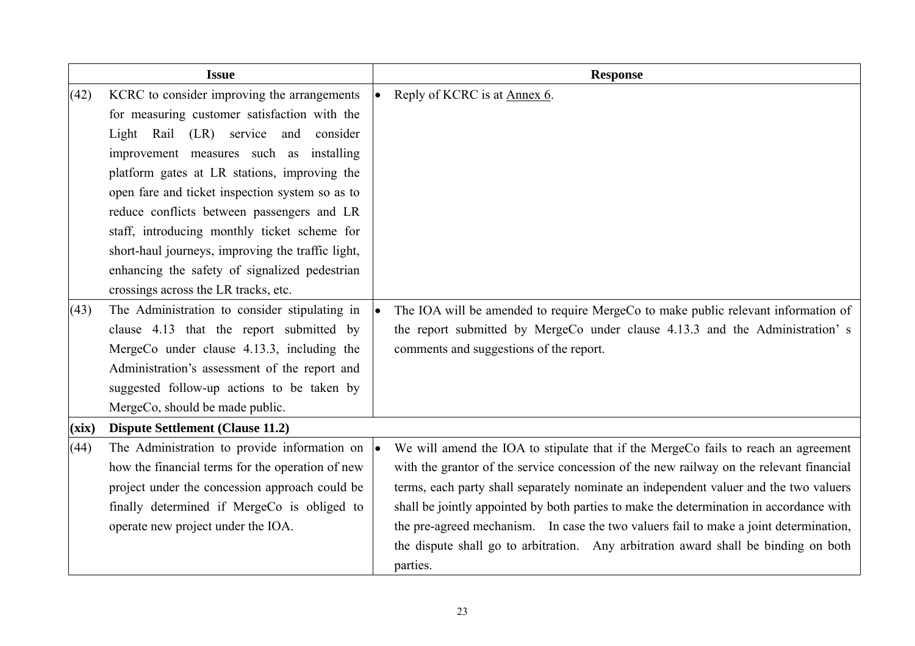|       | <b>Issue</b>                                      | <b>Response</b>                                                                         |
|-------|---------------------------------------------------|-----------------------------------------------------------------------------------------|
| (42)  | KCRC to consider improving the arrangements       | Reply of KCRC is at Annex 6.                                                            |
|       | for measuring customer satisfaction with the      |                                                                                         |
|       | Light Rail (LR) service and<br>consider           |                                                                                         |
|       | improvement measures such as installing           |                                                                                         |
|       | platform gates at LR stations, improving the      |                                                                                         |
|       | open fare and ticket inspection system so as to   |                                                                                         |
|       | reduce conflicts between passengers and LR        |                                                                                         |
|       | staff, introducing monthly ticket scheme for      |                                                                                         |
|       | short-haul journeys, improving the traffic light, |                                                                                         |
|       | enhancing the safety of signalized pedestrian     |                                                                                         |
|       | crossings across the LR tracks, etc.              |                                                                                         |
| (43)  | The Administration to consider stipulating in     | The IOA will be amended to require MergeCo to make public relevant information of       |
|       | clause 4.13 that the report submitted by          | the report submitted by MergeCo under clause 4.13.3 and the Administration's            |
|       | MergeCo under clause 4.13.3, including the        | comments and suggestions of the report.                                                 |
|       | Administration's assessment of the report and     |                                                                                         |
|       | suggested follow-up actions to be taken by        |                                                                                         |
|       | MergeCo, should be made public.                   |                                                                                         |
| (xix) | <b>Dispute Settlement (Clause 11.2)</b>           |                                                                                         |
| (44)  | The Administration to provide information on      | We will amend the IOA to stipulate that if the MergeCo fails to reach an agreement      |
|       | how the financial terms for the operation of new  | with the grantor of the service concession of the new railway on the relevant financial |
|       | project under the concession approach could be    | terms, each party shall separately nominate an independent valuer and the two valuers   |
|       | finally determined if MergeCo is obliged to       | shall be jointly appointed by both parties to make the determination in accordance with |
|       | operate new project under the IOA.                | the pre-agreed mechanism. In case the two valuers fail to make a joint determination,   |
|       |                                                   | the dispute shall go to arbitration. Any arbitration award shall be binding on both     |
|       |                                                   | parties.                                                                                |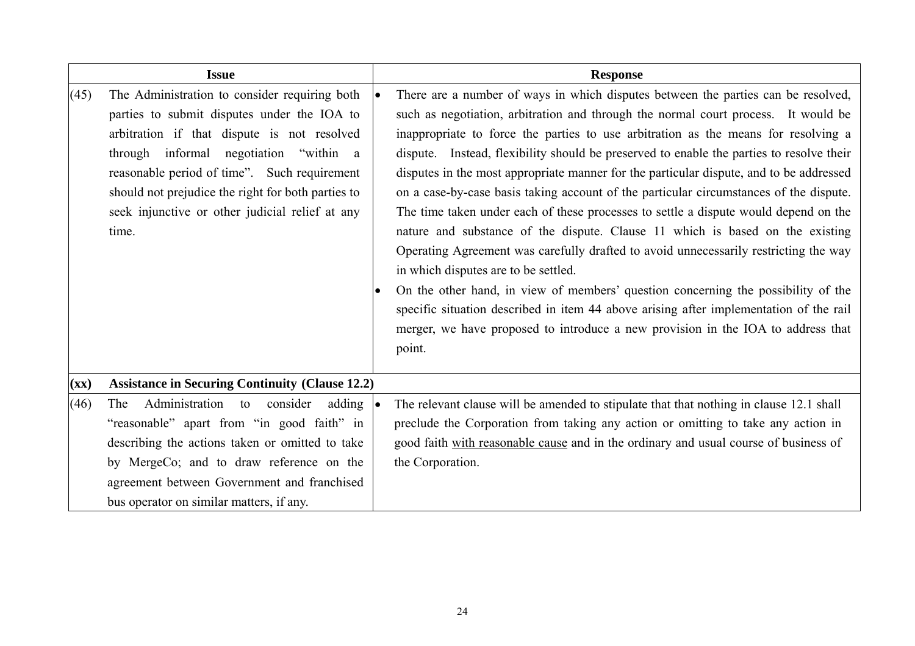|                 | <b>Issue</b>                                                                                                                                                                                                                                                                                                                                            | <b>Response</b>                                                                                                                                                                                                                                                                                                                                                                                                                                                                                                                                                                                                                                                                                                                                                                                                                                                                                                                                                                                                                                                                                                                      |
|-----------------|---------------------------------------------------------------------------------------------------------------------------------------------------------------------------------------------------------------------------------------------------------------------------------------------------------------------------------------------------------|--------------------------------------------------------------------------------------------------------------------------------------------------------------------------------------------------------------------------------------------------------------------------------------------------------------------------------------------------------------------------------------------------------------------------------------------------------------------------------------------------------------------------------------------------------------------------------------------------------------------------------------------------------------------------------------------------------------------------------------------------------------------------------------------------------------------------------------------------------------------------------------------------------------------------------------------------------------------------------------------------------------------------------------------------------------------------------------------------------------------------------------|
| (45)            | The Administration to consider requiring both<br>parties to submit disputes under the IOA to<br>arbitration if that dispute is not resolved<br>through informal negotiation "within a<br>reasonable period of time". Such requirement<br>should not prejudice the right for both parties to<br>seek injunctive or other judicial relief at any<br>time. | There are a number of ways in which disputes between the parties can be resolved,<br>such as negotiation, arbitration and through the normal court process. It would be<br>inappropriate to force the parties to use arbitration as the means for resolving a<br>dispute. Instead, flexibility should be preserved to enable the parties to resolve their<br>disputes in the most appropriate manner for the particular dispute, and to be addressed<br>on a case-by-case basis taking account of the particular circumstances of the dispute.<br>The time taken under each of these processes to settle a dispute would depend on the<br>nature and substance of the dispute. Clause 11 which is based on the existing<br>Operating Agreement was carefully drafted to avoid unnecessarily restricting the way<br>in which disputes are to be settled.<br>On the other hand, in view of members' question concerning the possibility of the<br>specific situation described in item 44 above arising after implementation of the rail<br>merger, we have proposed to introduce a new provision in the IOA to address that<br>point. |
| $(\mathbf{xx})$ | <b>Assistance in Securing Continuity (Clause 12.2)</b>                                                                                                                                                                                                                                                                                                  |                                                                                                                                                                                                                                                                                                                                                                                                                                                                                                                                                                                                                                                                                                                                                                                                                                                                                                                                                                                                                                                                                                                                      |
| (46)            | Administration<br>to consider<br>adding $  \bullet  $<br>The<br>"reasonable" apart from "in good faith" in<br>describing the actions taken or omitted to take<br>by MergeCo; and to draw reference on the<br>agreement between Government and franchised<br>bus operator on similar matters, if any.                                                    | The relevant clause will be amended to stipulate that that nothing in clause 12.1 shall<br>preclude the Corporation from taking any action or omitting to take any action in<br>good faith with reasonable cause and in the ordinary and usual course of business of<br>the Corporation.                                                                                                                                                                                                                                                                                                                                                                                                                                                                                                                                                                                                                                                                                                                                                                                                                                             |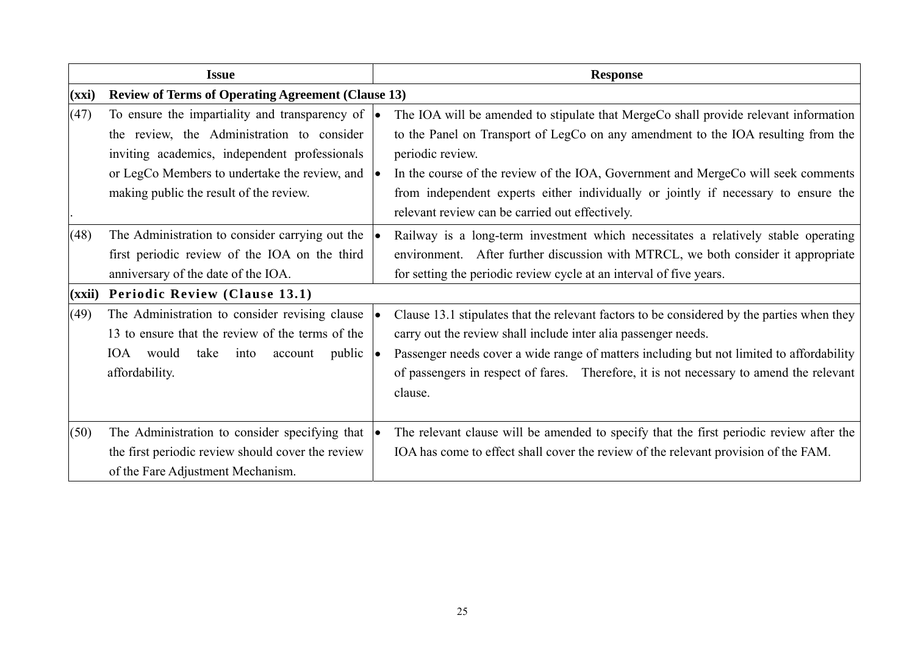| <b>Issue</b>   |                                                                                                                                                                                                                                                     | <b>Response</b>                                                                                                                                                                                                                                                                                                                                                                                                             |  |  |
|----------------|-----------------------------------------------------------------------------------------------------------------------------------------------------------------------------------------------------------------------------------------------------|-----------------------------------------------------------------------------------------------------------------------------------------------------------------------------------------------------------------------------------------------------------------------------------------------------------------------------------------------------------------------------------------------------------------------------|--|--|
| (xxi)          | <b>Review of Terms of Operating Agreement (Clause 13)</b>                                                                                                                                                                                           |                                                                                                                                                                                                                                                                                                                                                                                                                             |  |  |
| (47)           | To ensure the impartiality and transparency of $\bullet$<br>the review, the Administration to consider<br>inviting academics, independent professionals<br>or LegCo Members to undertake the review, and<br>making public the result of the review. | The IOA will be amended to stipulate that MergeCo shall provide relevant information<br>to the Panel on Transport of LegCo on any amendment to the IOA resulting from the<br>periodic review.<br>In the course of the review of the IOA, Government and MergeCo will seek comments<br>from independent experts either individually or jointly if necessary to ensure the<br>relevant review can be carried out effectively. |  |  |
| (48)<br>(xxii) | The Administration to consider carrying out the<br>first periodic review of the IOA on the third<br>anniversary of the date of the IOA.<br><b>Periodic Review (Clause 13.1)</b>                                                                     | Railway is a long-term investment which necessitates a relatively stable operating<br>environment. After further discussion with MTRCL, we both consider it appropriate<br>for setting the periodic review cycle at an interval of five years.                                                                                                                                                                              |  |  |
| (49)           | The Administration to consider revising clause<br>13 to ensure that the review of the terms of the<br>IOA would<br>take into<br>public<br>account<br>affordability.                                                                                 | Clause 13.1 stipulates that the relevant factors to be considered by the parties when they<br>carry out the review shall include inter alia passenger needs.<br>Passenger needs cover a wide range of matters including but not limited to affordability<br>of passengers in respect of fares. Therefore, it is not necessary to amend the relevant<br>clause.                                                              |  |  |
| (50)           | The Administration to consider specifying that<br>the first periodic review should cover the review<br>of the Fare Adjustment Mechanism.                                                                                                            | The relevant clause will be amended to specify that the first periodic review after the<br>IOA has come to effect shall cover the review of the relevant provision of the FAM.                                                                                                                                                                                                                                              |  |  |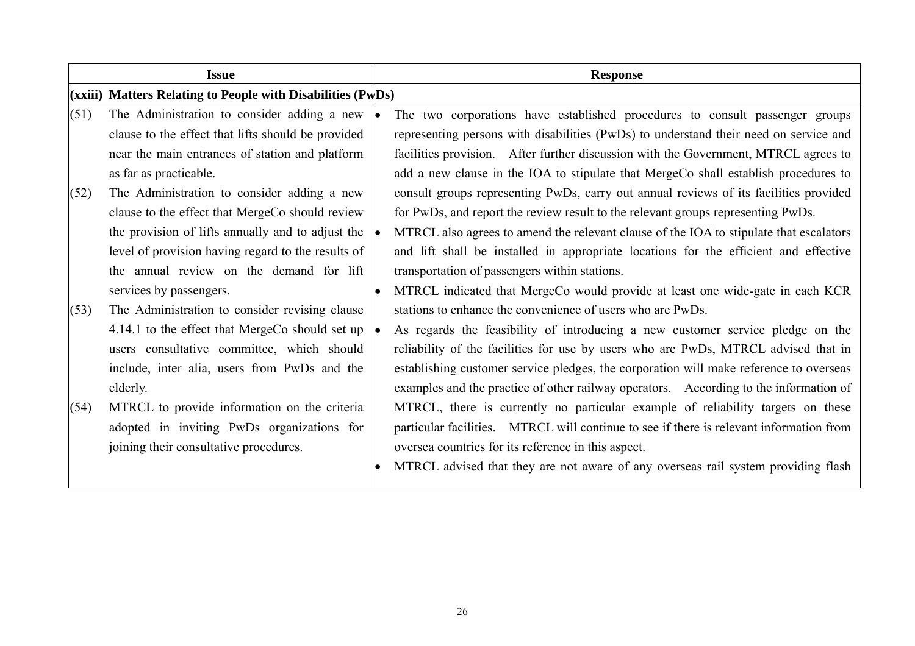| <b>Issue</b> |                                                               |                                                                                       | <b>Response</b>                                                                         |  |  |
|--------------|---------------------------------------------------------------|---------------------------------------------------------------------------------------|-----------------------------------------------------------------------------------------|--|--|
|              | $(xxiii)$ Matters Relating to People with Disabilities (PwDs) |                                                                                       |                                                                                         |  |  |
| (51)         | The Administration to consider adding a new                   | <b>le</b>                                                                             | The two corporations have established procedures to consult passenger groups            |  |  |
|              | clause to the effect that lifts should be provided            |                                                                                       | representing persons with disabilities (PwDs) to understand their need on service and   |  |  |
|              | near the main entrances of station and platform               |                                                                                       | facilities provision. After further discussion with the Government, MTRCL agrees to     |  |  |
|              | as far as practicable.                                        |                                                                                       | add a new clause in the IOA to stipulate that MergeCo shall establish procedures to     |  |  |
| (52)         | The Administration to consider adding a new                   |                                                                                       | consult groups representing PwDs, carry out annual reviews of its facilities provided   |  |  |
|              | clause to the effect that MergeCo should review               |                                                                                       | for PwDs, and report the review result to the relevant groups representing PwDs.        |  |  |
|              | the provision of lifts annually and to adjust the             |                                                                                       | MTRCL also agrees to amend the relevant clause of the IOA to stipulate that escalators  |  |  |
|              | level of provision having regard to the results of            |                                                                                       | and lift shall be installed in appropriate locations for the efficient and effective    |  |  |
|              | the annual review on the demand for lift                      |                                                                                       | transportation of passengers within stations.                                           |  |  |
|              | services by passengers.                                       |                                                                                       | MTRCL indicated that MergeCo would provide at least one wide-gate in each KCR           |  |  |
| (53)         | The Administration to consider revising clause                |                                                                                       | stations to enhance the convenience of users who are PwDs.                              |  |  |
|              | 4.14.1 to the effect that MergeCo should set up               |                                                                                       | As regards the feasibility of introducing a new customer service pledge on the          |  |  |
|              | users consultative committee, which should                    |                                                                                       | reliability of the facilities for use by users who are PwDs, MTRCL advised that in      |  |  |
|              | include, inter alia, users from PwDs and the                  |                                                                                       | establishing customer service pledges, the corporation will make reference to overseas  |  |  |
|              | elderly.                                                      | examples and the practice of other railway operators. According to the information of |                                                                                         |  |  |
| (54)         | MTRCL to provide information on the criteria                  |                                                                                       | MTRCL, there is currently no particular example of reliability targets on these         |  |  |
|              | adopted in inviting PwDs organizations for                    |                                                                                       | particular facilities. MTRCL will continue to see if there is relevant information from |  |  |
|              | joining their consultative procedures.                        |                                                                                       | oversea countries for its reference in this aspect.                                     |  |  |
|              |                                                               |                                                                                       | MTRCL advised that they are not aware of any overseas rail system providing flash       |  |  |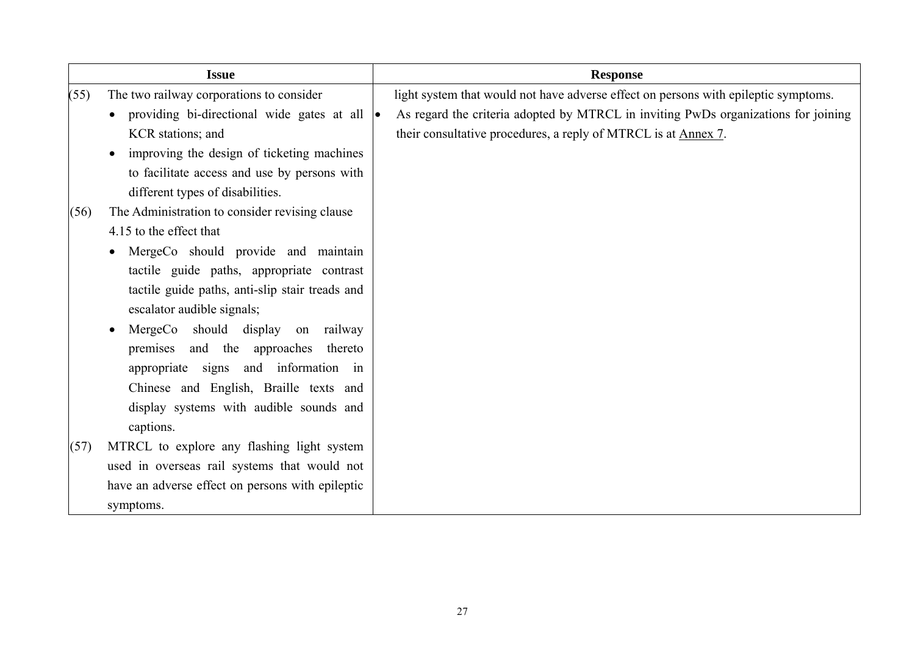|      | <b>Issue</b>                                            | <b>Response</b>                                                                     |
|------|---------------------------------------------------------|-------------------------------------------------------------------------------------|
| (55) | The two railway corporations to consider                | light system that would not have adverse effect on persons with epileptic symptoms. |
|      | providing bi-directional wide gates at all<br>$\bullet$ | As regard the criteria adopted by MTRCL in inviting PwDs organizations for joining  |
|      | KCR stations; and                                       | their consultative procedures, a reply of MTRCL is at Annex 7.                      |
|      | improving the design of ticketing machines<br>$\bullet$ |                                                                                     |
|      | to facilitate access and use by persons with            |                                                                                     |
|      | different types of disabilities.                        |                                                                                     |
| (56) | The Administration to consider revising clause          |                                                                                     |
|      | 4.15 to the effect that                                 |                                                                                     |
|      | MergeCo should provide and maintain                     |                                                                                     |
|      | tactile guide paths, appropriate contrast               |                                                                                     |
|      | tactile guide paths, anti-slip stair treads and         |                                                                                     |
|      | escalator audible signals;                              |                                                                                     |
|      | MergeCo should display<br>on railway<br>$\bullet$       |                                                                                     |
|      | and the approaches<br>premises<br>thereto               |                                                                                     |
|      | appropriate signs and information in                    |                                                                                     |
|      | Chinese and English, Braille texts and                  |                                                                                     |
|      | display systems with audible sounds and                 |                                                                                     |
|      | captions.                                               |                                                                                     |
| (57) | MTRCL to explore any flashing light system              |                                                                                     |
|      | used in overseas rail systems that would not            |                                                                                     |
|      | have an adverse effect on persons with epileptic        |                                                                                     |
|      | symptoms.                                               |                                                                                     |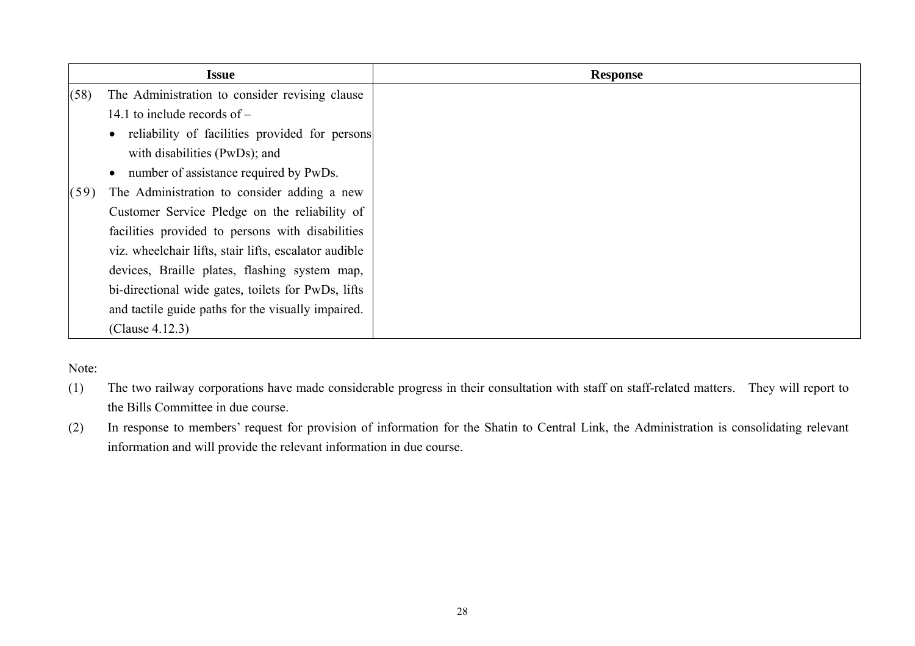|      | <b>Issue</b>                                                | <b>Response</b> |
|------|-------------------------------------------------------------|-----------------|
| (58) | The Administration to consider revising clause              |                 |
|      | 14.1 to include records of $-$                              |                 |
|      | reliability of facilities provided for persons<br>$\bullet$ |                 |
|      | with disabilities (PwDs); and                               |                 |
|      | number of assistance required by PwDs.<br>$\bullet$         |                 |
| (59) | The Administration to consider adding a new                 |                 |
|      | Customer Service Pledge on the reliability of               |                 |
|      | facilities provided to persons with disabilities            |                 |
|      | viz. wheelchair lifts, stair lifts, escalator audible       |                 |
|      | devices, Braille plates, flashing system map,               |                 |
|      | bi-directional wide gates, toilets for PwDs, lifts          |                 |
|      | and tactile guide paths for the visually impaired.          |                 |
|      | (Clause 4.12.3)                                             |                 |

#### Note:

- (1) The two railway corporations have made considerable progress in their consultation with staff on staff-related matters. They will report to the Bills Committee in due course.
- (2) In response to members' request for provision of information for the Shatin to Central Link, the Administration is consolidating relevant information and will provide the relevant information in due course.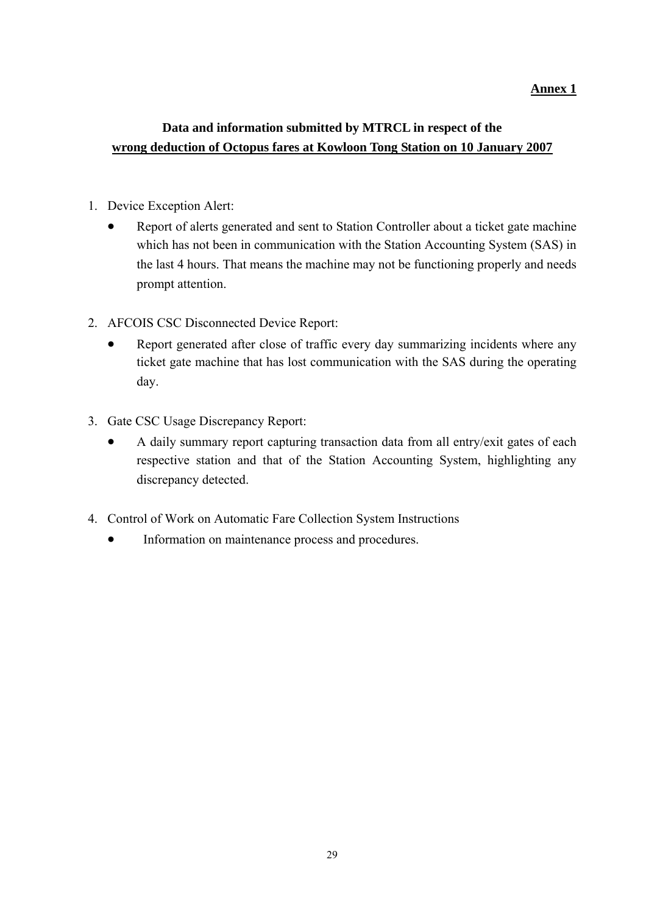### **Annex 1**

## **Data and information submitted by MTRCL in respect of the wrong deduction of Octopus fares at Kowloon Tong Station on 10 January 2007**

- 1. Device Exception Alert:
	- Report of alerts generated and sent to Station Controller about a ticket gate machine which has not been in communication with the Station Accounting System (SAS) in the last 4 hours. That means the machine may not be functioning properly and needs prompt attention.
- 2. AFCOIS CSC Disconnected Device Report:
	- Report generated after close of traffic every day summarizing incidents where any ticket gate machine that has lost communication with the SAS during the operating day.
- 3. Gate CSC Usage Discrepancy Report:
	- A daily summary report capturing transaction data from all entry/exit gates of each respective station and that of the Station Accounting System, highlighting any discrepancy detected.
- 4. Control of Work on Automatic Fare Collection System Instructions
	- Information on maintenance process and procedures.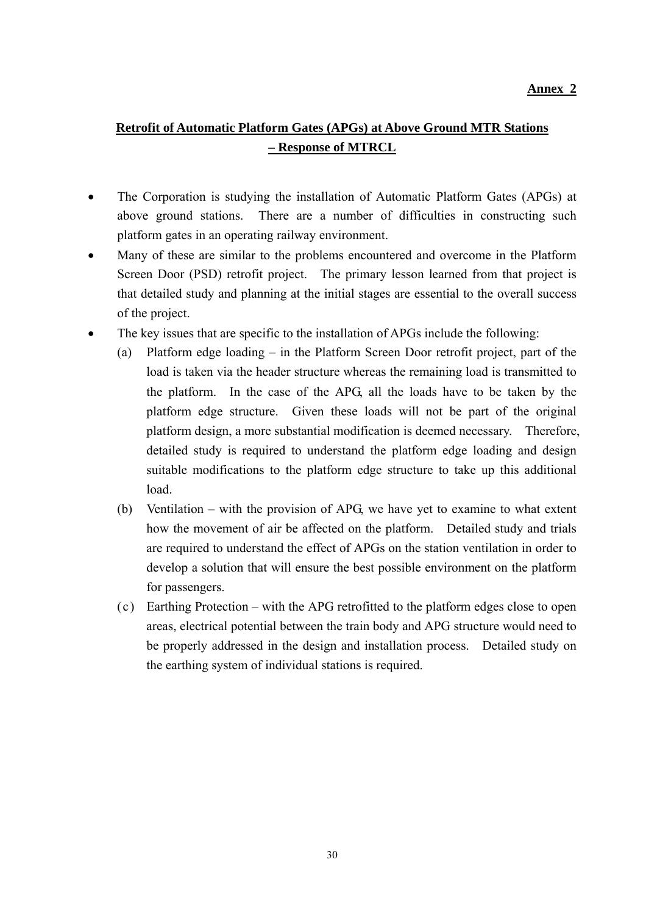## **Retrofit of Automatic Platform Gates (APGs) at Above Ground MTR Stations – Response of MTRCL**

- The Corporation is studying the installation of Automatic Platform Gates (APGs) at above ground stations. There are a number of difficulties in constructing such platform gates in an operating railway environment.
- Many of these are similar to the problems encountered and overcome in the Platform Screen Door (PSD) retrofit project. The primary lesson learned from that project is that detailed study and planning at the initial stages are essential to the overall success of the project.
- The key issues that are specific to the installation of APGs include the following:
	- (a) Platform edge loading in the Platform Screen Door retrofit project, part of the load is taken via the header structure whereas the remaining load is transmitted to the platform. In the case of the APG, all the loads have to be taken by the platform edge structure. Given these loads will not be part of the original platform design, a more substantial modification is deemed necessary. Therefore, detailed study is required to understand the platform edge loading and design suitable modifications to the platform edge structure to take up this additional load.
	- (b) Ventilation with the provision of APG, we have yet to examine to what extent how the movement of air be affected on the platform. Detailed study and trials are required to understand the effect of APGs on the station ventilation in order to develop a solution that will ensure the best possible environment on the platform for passengers.
	- (c) Earthing Protection with the APG retrofitted to the platform edges close to open areas, electrical potential between the train body and APG structure would need to be properly addressed in the design and installation process. Detailed study on the earthing system of individual stations is required.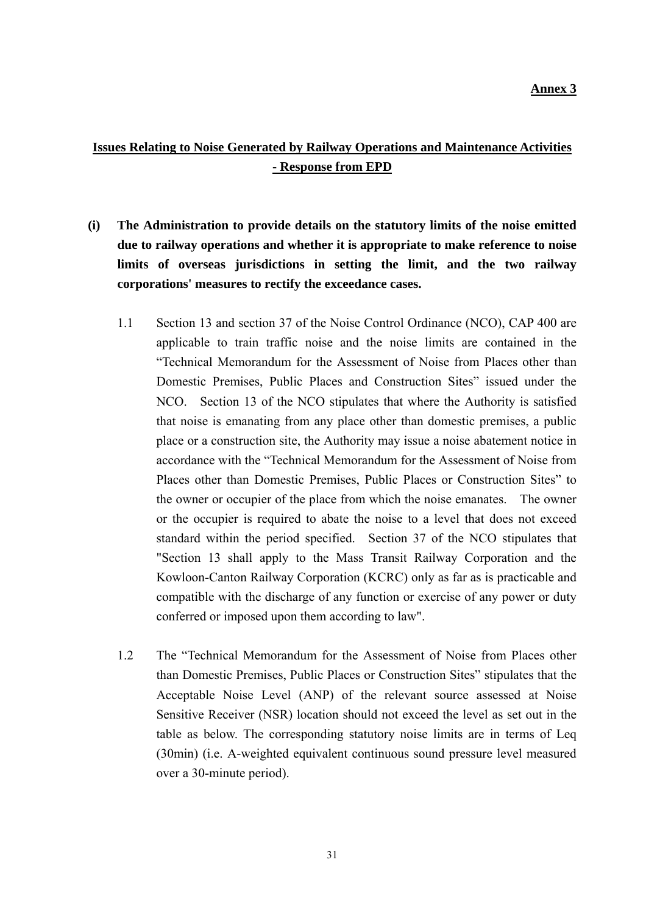### **Issues Relating to Noise Generated by Railway Operations and Maintenance Activities - Response from EPD**

- **(i) The Administration to provide details on the statutory limits of the noise emitted due to railway operations and whether it is appropriate to make reference to noise limits of overseas jurisdictions in setting the limit, and the two railway corporations' measures to rectify the exceedance cases.** 
	- 1.1 Section 13 and section 37 of the Noise Control Ordinance (NCO), CAP 400 are applicable to train traffic noise and the noise limits are contained in the "Technical Memorandum for the Assessment of Noise from Places other than Domestic Premises, Public Places and Construction Sites" issued under the NCO. Section 13 of the NCO stipulates that where the Authority is satisfied that noise is emanating from any place other than domestic premises, a public place or a construction site, the Authority may issue a noise abatement notice in accordance with the "Technical Memorandum for the Assessment of Noise from Places other than Domestic Premises, Public Places or Construction Sites" to the owner or occupier of the place from which the noise emanates. The owner or the occupier is required to abate the noise to a level that does not exceed standard within the period specified. Section 37 of the NCO stipulates that "Section 13 shall apply to the Mass Transit Railway Corporation and the Kowloon-Canton Railway Corporation (KCRC) only as far as is practicable and compatible with the discharge of any function or exercise of any power or duty conferred or imposed upon them according to law".
	- 1.2 The "Technical Memorandum for the Assessment of Noise from Places other than Domestic Premises, Public Places or Construction Sites" stipulates that the Acceptable Noise Level (ANP) of the relevant source assessed at Noise Sensitive Receiver (NSR) location should not exceed the level as set out in the table as below. The corresponding statutory noise limits are in terms of Leq (30min) (i.e. A-weighted equivalent continuous sound pressure level measured over a 30-minute period).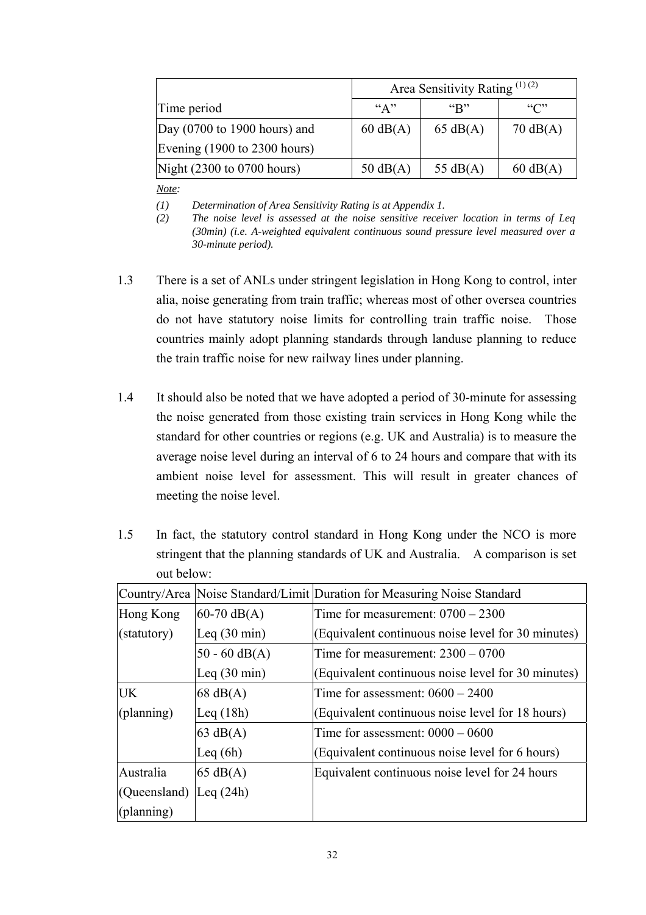|                                               | Area Sensitivity Rating $^{(1)(2)}$ |                    |                    |  |
|-----------------------------------------------|-------------------------------------|--------------------|--------------------|--|
| Time period                                   | $\mathcal{L}(\mathbf{A})$           | "R"                | ``C"               |  |
| $\vert$ Day (0700 to 1900 hours) and          | $60 \text{ dB}(A)$                  | $65 \text{ dB}(A)$ | $70 \text{ dB}(A)$ |  |
| Evening (1900 to 2300 hours)                  |                                     |                    |                    |  |
| Night $(2300 \text{ to } 0700 \text{ hours})$ | $50 \text{ dB}(A)$                  | 55 $dB(A)$         | $60 \text{ dB}(A)$ |  |

*Note:* 

*(1) Determination of Area Sensitivity Rating is at Appendix 1.* 

- *(2) The noise level is assessed at the noise sensitive receiver location in terms of Leq (30min) (i.e. A-weighted equivalent continuous sound pressure level measured over a 30-minute period).*
- 1.3 There is a set of ANLs under stringent legislation in Hong Kong to control, inter alia, noise generating from train traffic; whereas most of other oversea countries do not have statutory noise limits for controlling train traffic noise. Those countries mainly adopt planning standards through landuse planning to reduce the train traffic noise for new railway lines under planning.
- 1.4 It should also be noted that we have adopted a period of 30-minute for assessing the noise generated from those existing train services in Hong Kong while the standard for other countries or regions (e.g. UK and Australia) is to measure the average noise level during an interval of 6 to 24 hours and compare that with its ambient noise level for assessment. This will result in greater chances of meeting the noise level.
- 1.5 In fact, the statutory control standard in Hong Kong under the NCO is more stringent that the planning standards of UK and Australia. A comparison is set out below:

|                     |                        | Country/Area Noise Standard/Limit Duration for Measuring Noise Standard |  |  |
|---------------------|------------------------|-------------------------------------------------------------------------|--|--|
| Hong Kong           | $60-70 \text{ dB}(A)$  | Time for measurement: $0700 - 2300$                                     |  |  |
| (statutory)         | Leq $(30 \text{ min})$ | (Equivalent continuous noise level for 30 minutes)                      |  |  |
|                     | $50 - 60$ dB(A)        | Time for measurement: $2300 - 0700$                                     |  |  |
|                     | Leq $(30 \text{ min})$ | (Equivalent continuous noise level for 30 minutes)                      |  |  |
| <b>UK</b>           | $68 \text{ dB}(A)$     | Time for assessment: $0600 - 2400$                                      |  |  |
| $(\text{planning})$ | Leq $(18h)$            | (Equivalent continuous noise level for 18 hours)                        |  |  |
|                     | $63 \text{ dB}(A)$     | Time for assessment: $0000 - 0600$                                      |  |  |
|                     | Leq $(6h)$             | (Equivalent continuous noise level for 6 hours)                         |  |  |
| Australia           | $65 \text{ dB}(A)$     | Equivalent continuous noise level for 24 hours                          |  |  |
| (Queensland)        | $\text{Leg}(24h)$      |                                                                         |  |  |
| $(\text{planning})$ |                        |                                                                         |  |  |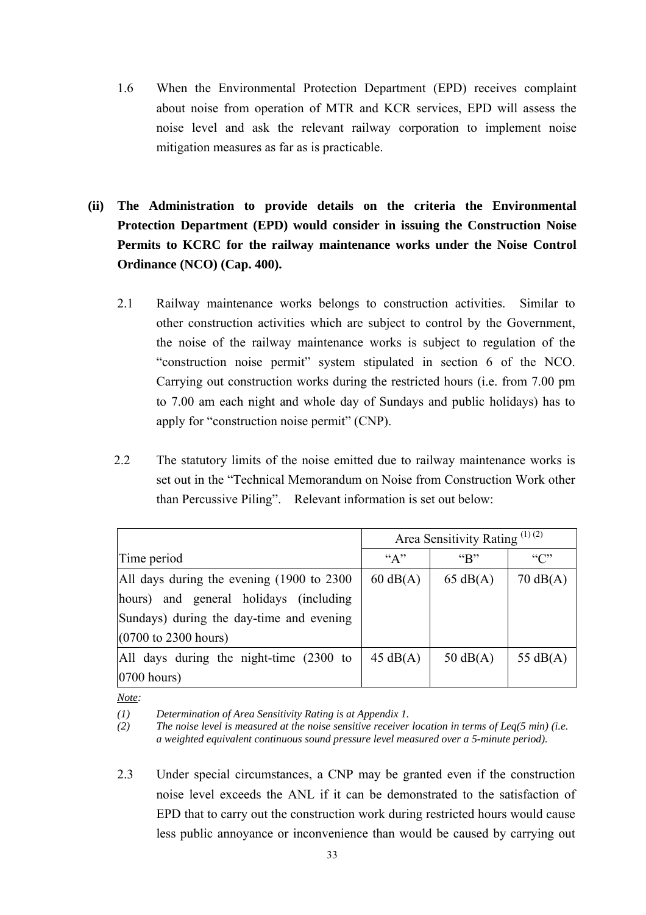- 1.6 When the Environmental Protection Department (EPD) receives complaint about noise from operation of MTR and KCR services, EPD will assess the noise level and ask the relevant railway corporation to implement noise mitigation measures as far as is practicable.
- **(ii) The Administration to provide details on the criteria the Environmental Protection Department (EPD) would consider in issuing the Construction Noise Permits to KCRC for the railway maintenance works under the Noise Control Ordinance (NCO) (Cap. 400).**
	- 2.1 Railway maintenance works belongs to construction activities. Similar to other construction activities which are subject to control by the Government, the noise of the railway maintenance works is subject to regulation of the "construction noise permit" system stipulated in section 6 of the NCO. Carrying out construction works during the restricted hours (i.e. from 7.00 pm to 7.00 am each night and whole day of Sundays and public holidays) has to apply for "construction noise permit" (CNP).
	- 2.2 The statutory limits of the noise emitted due to railway maintenance works is set out in the "Technical Memorandum on Noise from Construction Work other than Percussive Piling". Relevant information is set out below:

|                                            | Area Sensitivity Rating $^{(1)(2)}$ |                    |                    |
|--------------------------------------------|-------------------------------------|--------------------|--------------------|
| Time period                                | $A$ "                               | $~\rm$ "R"         | C                  |
| All days during the evening (1900 to 2300) | $60 \text{ dB}(A)$                  | $65 \text{ dB}(A)$ | $70 \text{ dB}(A)$ |
| and general holidays (including<br>hours)  |                                     |                    |                    |
| Sundays) during the day-time and evening   |                                     |                    |                    |
| $(0700 \text{ to } 2300 \text{ hours})$    |                                     |                    |                    |
| All days during the night-time (2300 to    | $45 \text{ dB}(A)$                  | $50 \text{ dB}(A)$ | 55 $dB(A)$         |
| $0700$ hours)                              |                                     |                    |                    |

*Note:* 

*(1) Determination of Area Sensitivity Rating is at Appendix 1.* 

*(2) The noise level is measured at the noise sensitive receiver location in terms of Leq(5 min) (i.e. a weighted equivalent continuous sound pressure level measured over a 5-minute period).* 

2.3 Under special circumstances, a CNP may be granted even if the construction noise level exceeds the ANL if it can be demonstrated to the satisfaction of EPD that to carry out the construction work during restricted hours would cause less public annoyance or inconvenience than would be caused by carrying out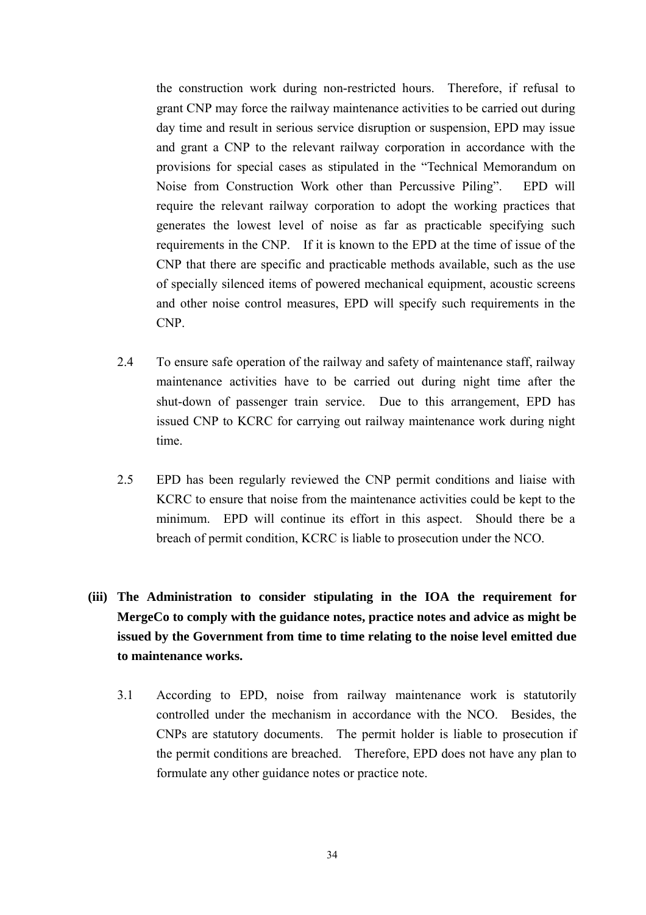the construction work during non-restricted hours. Therefore, if refusal to grant CNP may force the railway maintenance activities to be carried out during day time and result in serious service disruption or suspension, EPD may issue and grant a CNP to the relevant railway corporation in accordance with the provisions for special cases as stipulated in the "Technical Memorandum on Noise from Construction Work other than Percussive Piling". EPD will require the relevant railway corporation to adopt the working practices that generates the lowest level of noise as far as practicable specifying such requirements in the CNP. If it is known to the EPD at the time of issue of the CNP that there are specific and practicable methods available, such as the use of specially silenced items of powered mechanical equipment, acoustic screens and other noise control measures, EPD will specify such requirements in the CNP.

- 2.4 To ensure safe operation of the railway and safety of maintenance staff, railway maintenance activities have to be carried out during night time after the shut-down of passenger train service. Due to this arrangement, EPD has issued CNP to KCRC for carrying out railway maintenance work during night time.
- 2.5 EPD has been regularly reviewed the CNP permit conditions and liaise with KCRC to ensure that noise from the maintenance activities could be kept to the minimum. EPD will continue its effort in this aspect. Should there be a breach of permit condition, KCRC is liable to prosecution under the NCO.
- **(iii) The Administration to consider stipulating in the IOA the requirement for MergeCo to comply with the guidance notes, practice notes and advice as might be issued by the Government from time to time relating to the noise level emitted due to maintenance works.** 
	- 3.1 According to EPD, noise from railway maintenance work is statutorily controlled under the mechanism in accordance with the NCO. Besides, the CNPs are statutory documents. The permit holder is liable to prosecution if the permit conditions are breached. Therefore, EPD does not have any plan to formulate any other guidance notes or practice note.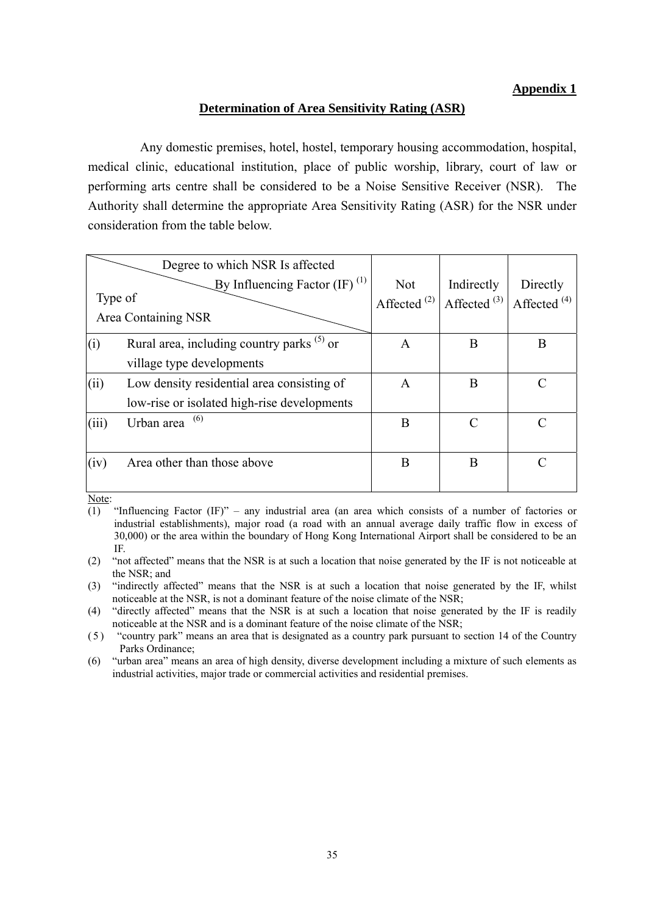#### **Appendix 1**

#### **Determination of Area Sensitivity Rating (ASR)**

 Any domestic premises, hotel, hostel, temporary housing accommodation, hospital, medical clinic, educational institution, place of public worship, library, court of law or performing arts centre shall be considered to be a Noise Sensitive Receiver (NSR). The Authority shall determine the appropriate Area Sensitivity Rating (ASR) for the NSR under consideration from the table below.

|                                | Degree to which NSR Is affected<br>By Influencing Factor $(IF)^{(1)}$ | <b>Not</b>        | Indirectly     | Directly                |
|--------------------------------|-----------------------------------------------------------------------|-------------------|----------------|-------------------------|
| Type of<br>Area Containing NSR |                                                                       | Affected $^{(2)}$ | Affected $(3)$ | Affected <sup>(4)</sup> |
| (i)                            | Rural area, including country parks $(5)$ or                          | A                 | B              | B                       |
|                                | village type developments                                             |                   |                |                         |
| (ii)                           | Low density residential area consisting of                            | A                 | B              | $\subset$               |
|                                | low-rise or isolated high-rise developments                           |                   |                |                         |
| (iii)                          | (6)<br>Urban area                                                     | B                 | $\Gamma$       | $\mathsf{\Gamma}$       |
| (iv)                           | Area other than those above                                           | B                 | B              | $\subset$               |

Note:

<sup>(1) &</sup>quot;Influencing Factor (IF)" – any industrial area (an area which consists of a number of factories or industrial establishments), major road (a road with an annual average daily traffic flow in excess of 30,000) or the area within the boundary of Hong Kong International Airport shall be considered to be an IF.

<sup>(2) &</sup>quot;not affected" means that the NSR is at such a location that noise generated by the IF is not noticeable at the NSR; and

<sup>(3) &</sup>quot;indirectly affected" means that the NSR is at such a location that noise generated by the IF, whilst noticeable at the NSR, is not a dominant feature of the noise climate of the NSR;

<sup>(4) &</sup>quot;directly affected" means that the NSR is at such a location that noise generated by the IF is readily noticeable at the NSR and is a dominant feature of the noise climate of the NSR;

<sup>( 5 ) &</sup>quot;country park" means an area that is designated as a country park pursuant to section 14 of the Country Parks Ordinance;

<sup>(6) &</sup>quot;urban area" means an area of high density, diverse development including a mixture of such elements as industrial activities, major trade or commercial activities and residential premises.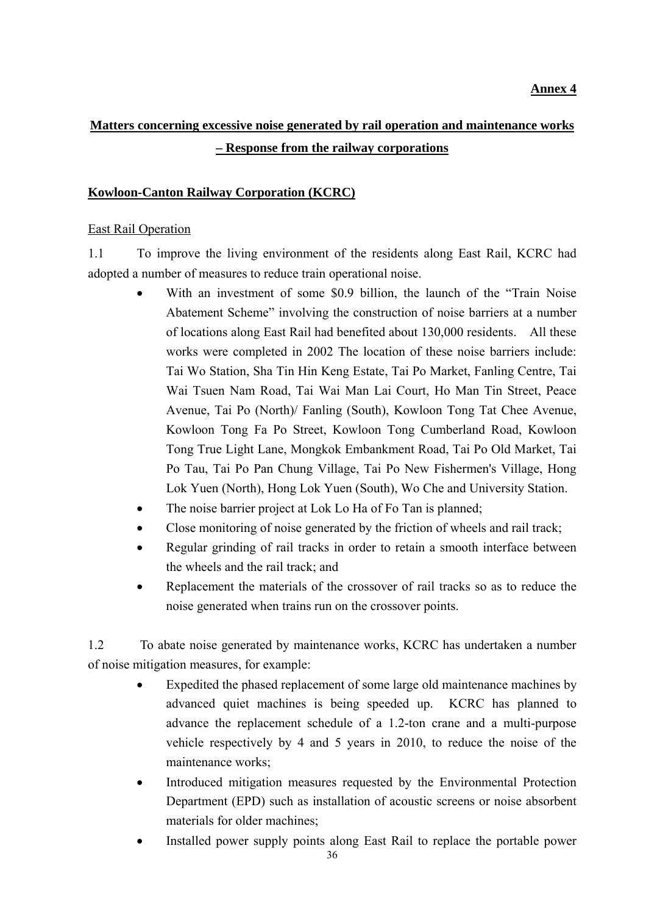# **Matters concerning excessive noise generated by rail operation and maintenance works – Response from the railway corporations**

### **Kowloon-Canton Railway Corporation (KCRC)**

### East Rail Operation

1.1 To improve the living environment of the residents along East Rail, KCRC had adopted a number of measures to reduce train operational noise.

- With an investment of some \$0.9 billion, the launch of the "Train Noise" Abatement Scheme" involving the construction of noise barriers at a number of locations along East Rail had benefited about 130,000 residents. All these works were completed in 2002 The location of these noise barriers include: Tai Wo Station, Sha Tin Hin Keng Estate, Tai Po Market, Fanling Centre, Tai Wai Tsuen Nam Road, Tai Wai Man Lai Court, Ho Man Tin Street, Peace Avenue, Tai Po (North)/ Fanling (South), Kowloon Tong Tat Chee Avenue, Kowloon Tong Fa Po Street, Kowloon Tong Cumberland Road, Kowloon Tong True Light Lane, Mongkok Embankment Road, Tai Po Old Market, Tai Po Tau, Tai Po Pan Chung Village, Tai Po New Fishermen's Village, Hong Lok Yuen (North), Hong Lok Yuen (South), Wo Che and University Station.
- The noise barrier project at Lok Lo Ha of Fo Tan is planned;
- Close monitoring of noise generated by the friction of wheels and rail track;
- Regular grinding of rail tracks in order to retain a smooth interface between the wheels and the rail track; and
- Replacement the materials of the crossover of rail tracks so as to reduce the noise generated when trains run on the crossover points.

1.2 To abate noise generated by maintenance works, KCRC has undertaken a number of noise mitigation measures, for example:

- Expedited the phased replacement of some large old maintenance machines by advanced quiet machines is being speeded up. KCRC has planned to advance the replacement schedule of a 1.2-ton crane and a multi-purpose vehicle respectively by 4 and 5 years in 2010, to reduce the noise of the maintenance works;
- Introduced mitigation measures requested by the Environmental Protection Department (EPD) such as installation of acoustic screens or noise absorbent materials for older machines;
- Installed power supply points along East Rail to replace the portable power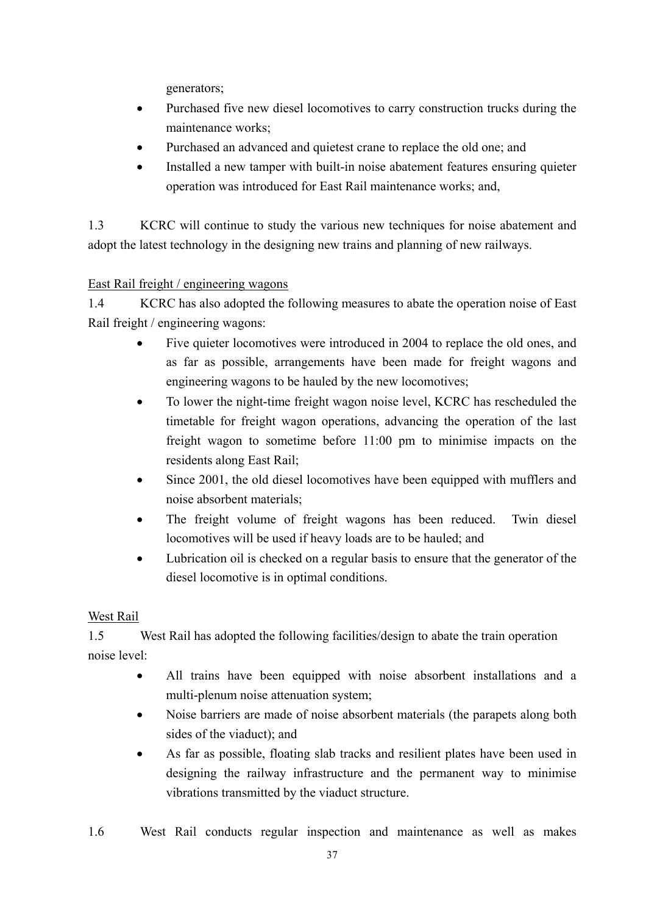generators;

- Purchased five new diesel locomotives to carry construction trucks during the maintenance works;
- Purchased an advanced and quietest crane to replace the old one; and
- Installed a new tamper with built-in noise abatement features ensuring quieter operation was introduced for East Rail maintenance works; and,

1.3 KCRC will continue to study the various new techniques for noise abatement and adopt the latest technology in the designing new trains and planning of new railways.

### East Rail freight / engineering wagons

1.4 KCRC has also adopted the following measures to abate the operation noise of East Rail freight / engineering wagons:

- Five quieter locomotives were introduced in 2004 to replace the old ones, and as far as possible, arrangements have been made for freight wagons and engineering wagons to be hauled by the new locomotives;
- To lower the night-time freight wagon noise level, KCRC has rescheduled the timetable for freight wagon operations, advancing the operation of the last freight wagon to sometime before 11:00 pm to minimise impacts on the residents along East Rail;
- Since 2001, the old diesel locomotives have been equipped with mufflers and noise absorbent materials;
- The freight volume of freight wagons has been reduced. Twin diesel locomotives will be used if heavy loads are to be hauled; and
- Lubrication oil is checked on a regular basis to ensure that the generator of the diesel locomotive is in optimal conditions.

### West Rail

1.5 West Rail has adopted the following facilities/design to abate the train operation noise level:

- All trains have been equipped with noise absorbent installations and a multi-plenum noise attenuation system;
- Noise barriers are made of noise absorbent materials (the parapets along both sides of the viaduct); and
- As far as possible, floating slab tracks and resilient plates have been used in designing the railway infrastructure and the permanent way to minimise vibrations transmitted by the viaduct structure.
- 1.6 West Rail conducts regular inspection and maintenance as well as makes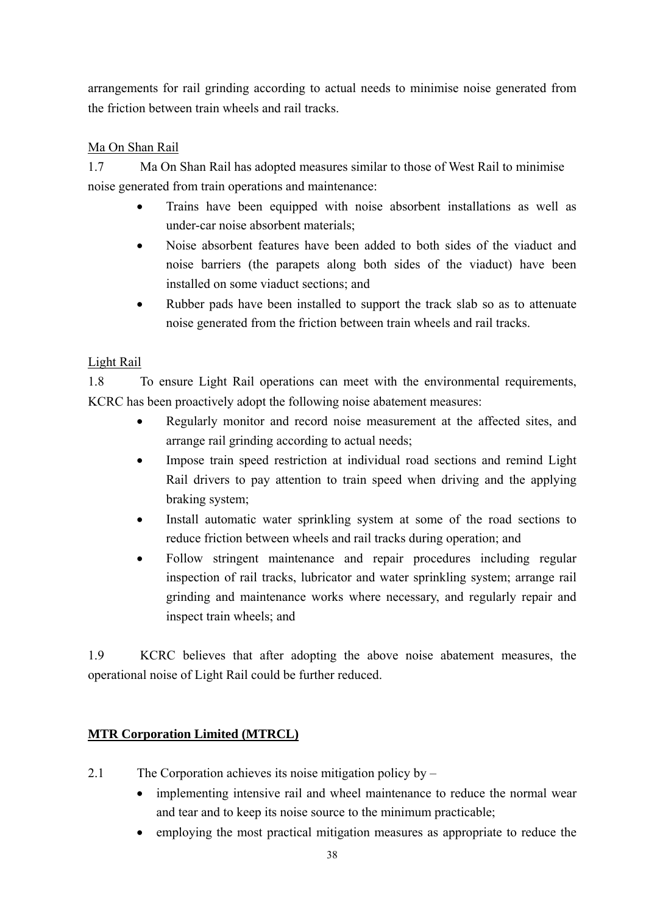arrangements for rail grinding according to actual needs to minimise noise generated from the friction between train wheels and rail tracks.

### Ma On Shan Rail

1.7 Ma On Shan Rail has adopted measures similar to those of West Rail to minimise noise generated from train operations and maintenance:

- Trains have been equipped with noise absorbent installations as well as under-car noise absorbent materials;
- Noise absorbent features have been added to both sides of the viaduct and noise barriers (the parapets along both sides of the viaduct) have been installed on some viaduct sections; and
- Rubber pads have been installed to support the track slab so as to attenuate noise generated from the friction between train wheels and rail tracks.

### Light Rail

1.8 To ensure Light Rail operations can meet with the environmental requirements, KCRC has been proactively adopt the following noise abatement measures:

- Regularly monitor and record noise measurement at the affected sites, and arrange rail grinding according to actual needs;
- Impose train speed restriction at individual road sections and remind Light Rail drivers to pay attention to train speed when driving and the applying braking system;
- Install automatic water sprinkling system at some of the road sections to reduce friction between wheels and rail tracks during operation; and
- Follow stringent maintenance and repair procedures including regular inspection of rail tracks, lubricator and water sprinkling system; arrange rail grinding and maintenance works where necessary, and regularly repair and inspect train wheels; and

1.9 KCRC believes that after adopting the above noise abatement measures, the operational noise of Light Rail could be further reduced.

### **MTR Corporation Limited (MTRCL)**

- 2.1 The Corporation achieves its noise mitigation policy by
	- implementing intensive rail and wheel maintenance to reduce the normal wear and tear and to keep its noise source to the minimum practicable;
	- employing the most practical mitigation measures as appropriate to reduce the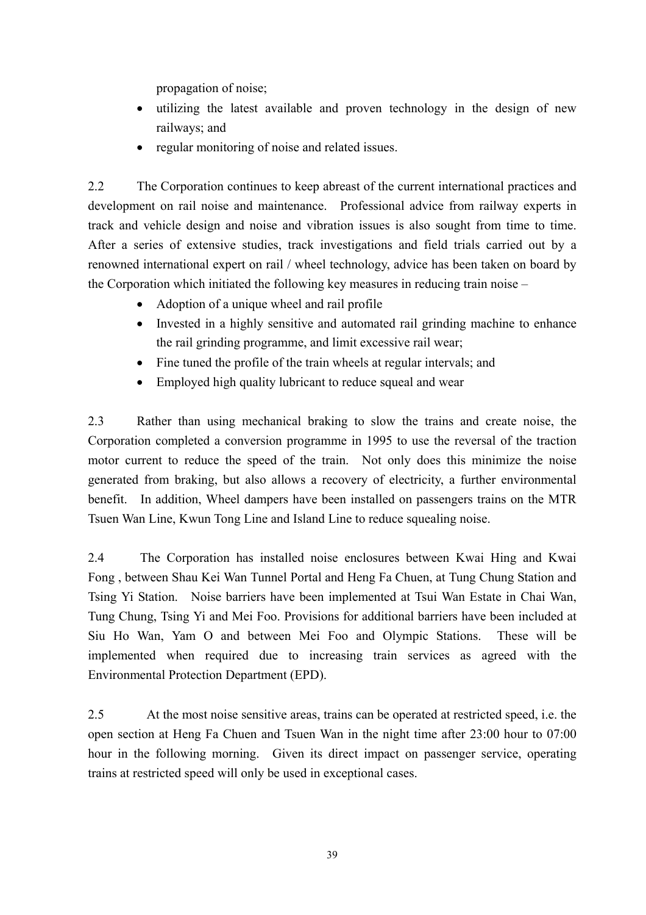propagation of noise;

- utilizing the latest available and proven technology in the design of new railways; and
- regular monitoring of noise and related issues.

2.2 The Corporation continues to keep abreast of the current international practices and development on rail noise and maintenance. Professional advice from railway experts in track and vehicle design and noise and vibration issues is also sought from time to time. After a series of extensive studies, track investigations and field trials carried out by a renowned international expert on rail / wheel technology, advice has been taken on board by the Corporation which initiated the following key measures in reducing train noise –

- Adoption of a unique wheel and rail profile
- Invested in a highly sensitive and automated rail grinding machine to enhance the rail grinding programme, and limit excessive rail wear;
- Fine tuned the profile of the train wheels at regular intervals; and
- Employed high quality lubricant to reduce squeal and wear

2.3 Rather than using mechanical braking to slow the trains and create noise, the Corporation completed a conversion programme in 1995 to use the reversal of the traction motor current to reduce the speed of the train. Not only does this minimize the noise generated from braking, but also allows a recovery of electricity, a further environmental benefit. In addition, Wheel dampers have been installed on passengers trains on the MTR Tsuen Wan Line, Kwun Tong Line and Island Line to reduce squealing noise.

2.4 The Corporation has installed noise enclosures between Kwai Hing and Kwai Fong , between Shau Kei Wan Tunnel Portal and Heng Fa Chuen, at Tung Chung Station and Tsing Yi Station. Noise barriers have been implemented at Tsui Wan Estate in Chai Wan, Tung Chung, Tsing Yi and Mei Foo. Provisions for additional barriers have been included at Siu Ho Wan, Yam O and between Mei Foo and Olympic Stations. These will be implemented when required due to increasing train services as agreed with the Environmental Protection Department (EPD).

2.5 At the most noise sensitive areas, trains can be operated at restricted speed, i.e. the open section at Heng Fa Chuen and Tsuen Wan in the night time after 23:00 hour to 07:00 hour in the following morning. Given its direct impact on passenger service, operating trains at restricted speed will only be used in exceptional cases.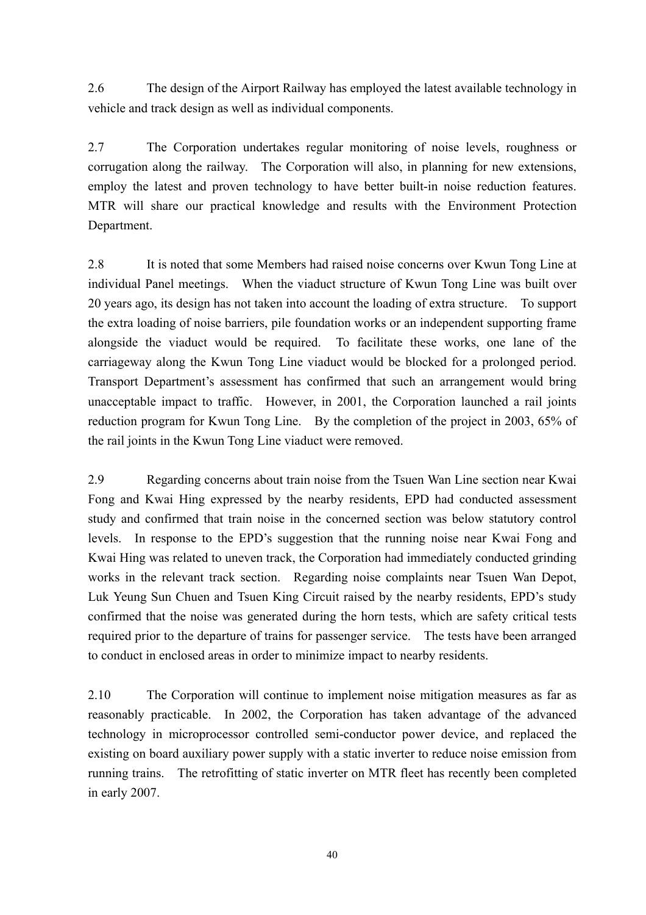2.6 The design of the Airport Railway has employed the latest available technology in vehicle and track design as well as individual components.

2.7 The Corporation undertakes regular monitoring of noise levels, roughness or corrugation along the railway. The Corporation will also, in planning for new extensions, employ the latest and proven technology to have better built-in noise reduction features. MTR will share our practical knowledge and results with the Environment Protection Department.

2.8 It is noted that some Members had raised noise concerns over Kwun Tong Line at individual Panel meetings. When the viaduct structure of Kwun Tong Line was built over 20 years ago, its design has not taken into account the loading of extra structure. To support the extra loading of noise barriers, pile foundation works or an independent supporting frame alongside the viaduct would be required. To facilitate these works, one lane of the carriageway along the Kwun Tong Line viaduct would be blocked for a prolonged period. Transport Department's assessment has confirmed that such an arrangement would bring unacceptable impact to traffic. However, in 2001, the Corporation launched a rail joints reduction program for Kwun Tong Line. By the completion of the project in 2003, 65% of the rail joints in the Kwun Tong Line viaduct were removed.

2.9 Regarding concerns about train noise from the Tsuen Wan Line section near Kwai Fong and Kwai Hing expressed by the nearby residents, EPD had conducted assessment study and confirmed that train noise in the concerned section was below statutory control levels. In response to the EPD's suggestion that the running noise near Kwai Fong and Kwai Hing was related to uneven track, the Corporation had immediately conducted grinding works in the relevant track section. Regarding noise complaints near Tsuen Wan Depot, Luk Yeung Sun Chuen and Tsuen King Circuit raised by the nearby residents, EPD's study confirmed that the noise was generated during the horn tests, which are safety critical tests required prior to the departure of trains for passenger service. The tests have been arranged to conduct in enclosed areas in order to minimize impact to nearby residents.

2.10 The Corporation will continue to implement noise mitigation measures as far as reasonably practicable. In 2002, the Corporation has taken advantage of the advanced technology in microprocessor controlled semi-conductor power device, and replaced the existing on board auxiliary power supply with a static inverter to reduce noise emission from running trains. The retrofitting of static inverter on MTR fleet has recently been completed in early 2007.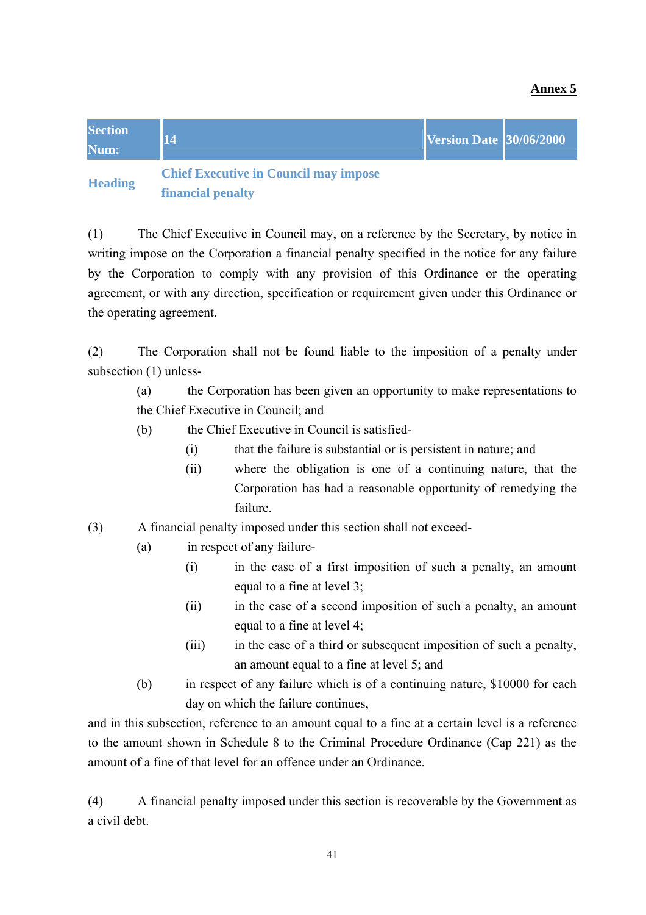| <b>Section</b><br>Num: | 14                                           | <b>Version Date 30/06/2000</b> |  |
|------------------------|----------------------------------------------|--------------------------------|--|
| <b>Heading</b>         | <b>Chief Executive in Council may impose</b> |                                |  |

**financial penalty** 

(1) The Chief Executive in Council may, on a reference by the Secretary, by notice in writing impose on the Corporation a financial penalty specified in the notice for any failure by the Corporation to comply with any provision of this Ordinance or the operating agreement, or with any direction, specification or requirement given under this Ordinance or the operating agreement.

(2) The Corporation shall not be found liable to the imposition of a penalty under subsection (1) unless-

(a) the Corporation has been given an opportunity to make representations to the Chief Executive in Council; and

- (b) the Chief Executive in Council is satisfied-
	- (i) that the failure is substantial or is persistent in nature; and
	- (ii) where the obligation is one of a continuing nature, that the Corporation has had a reasonable opportunity of remedying the failure.
- (3) A financial penalty imposed under this section shall not exceed-
	- (a) in respect of any failure-
		- (i) in the case of a first imposition of such a penalty, an amount equal to a fine at level 3;
		- (ii) in the case of a second imposition of such a penalty, an amount equal to a fine at level 4;
		- (iii) in the case of a third or subsequent imposition of such a penalty, an amount equal to a fine at level 5; and
	- (b) in respect of any failure which is of a continuing nature, \$10000 for each day on which the failure continues,

and in this subsection, reference to an amount equal to a fine at a certain level is a reference to the amount shown in Schedule 8 to the Criminal Procedure Ordinance (Cap 221) as the amount of a fine of that level for an offence under an Ordinance.

(4) A financial penalty imposed under this section is recoverable by the Government as a civil debt.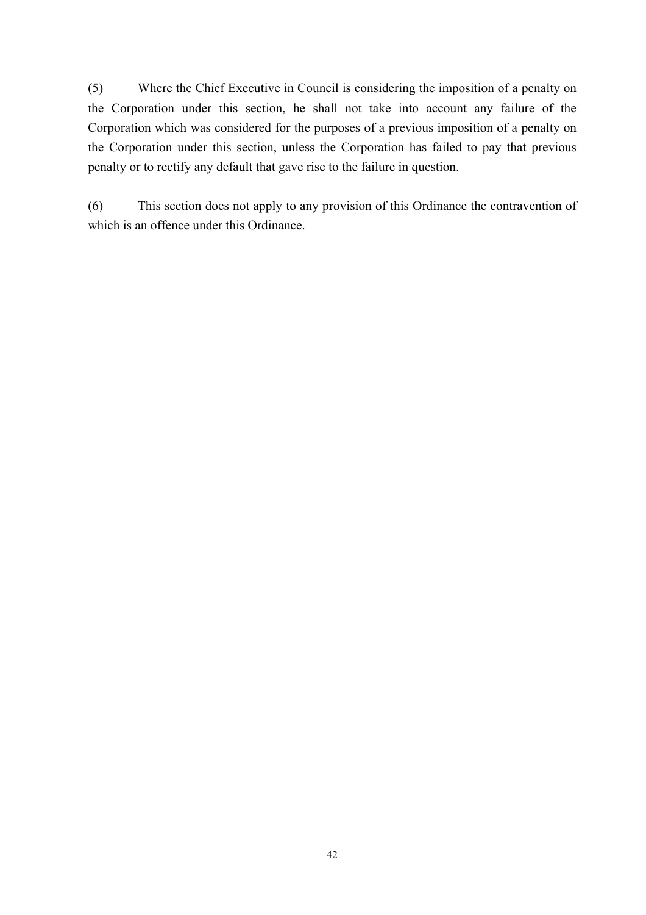(5) Where the Chief Executive in Council is considering the imposition of a penalty on the Corporation under this section, he shall not take into account any failure of the Corporation which was considered for the purposes of a previous imposition of a penalty on the Corporation under this section, unless the Corporation has failed to pay that previous penalty or to rectify any default that gave rise to the failure in question.

(6) This section does not apply to any provision of this Ordinance the contravention of which is an offence under this Ordinance.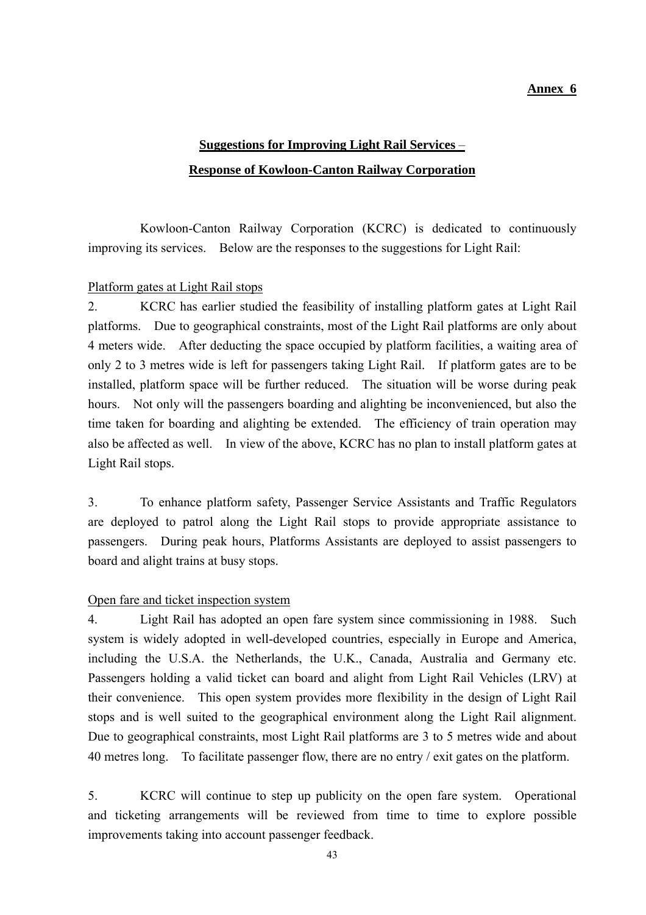#### **Annex 6**

# **Suggestions for Improving Light Rail Services** – **Response of Kowloon-Canton Railway Corporation**

 Kowloon-Canton Railway Corporation (KCRC) is dedicated to continuously improving its services. Below are the responses to the suggestions for Light Rail:

### Platform gates at Light Rail stops

2. KCRC has earlier studied the feasibility of installing platform gates at Light Rail platforms. Due to geographical constraints, most of the Light Rail platforms are only about 4 meters wide. After deducting the space occupied by platform facilities, a waiting area of only 2 to 3 metres wide is left for passengers taking Light Rail. If platform gates are to be installed, platform space will be further reduced. The situation will be worse during peak hours. Not only will the passengers boarding and alighting be inconvenienced, but also the time taken for boarding and alighting be extended. The efficiency of train operation may also be affected as well. In view of the above, KCRC has no plan to install platform gates at Light Rail stops.

3. To enhance platform safety, Passenger Service Assistants and Traffic Regulators are deployed to patrol along the Light Rail stops to provide appropriate assistance to passengers. During peak hours, Platforms Assistants are deployed to assist passengers to board and alight trains at busy stops.

#### Open fare and ticket inspection system

4. Light Rail has adopted an open fare system since commissioning in 1988. Such system is widely adopted in well-developed countries, especially in Europe and America, including the U.S.A. the Netherlands, the U.K., Canada, Australia and Germany etc. Passengers holding a valid ticket can board and alight from Light Rail Vehicles (LRV) at their convenience. This open system provides more flexibility in the design of Light Rail stops and is well suited to the geographical environment along the Light Rail alignment. Due to geographical constraints, most Light Rail platforms are 3 to 5 metres wide and about 40 metres long. To facilitate passenger flow, there are no entry / exit gates on the platform.

5. KCRC will continue to step up publicity on the open fare system. Operational and ticketing arrangements will be reviewed from time to time to explore possible improvements taking into account passenger feedback.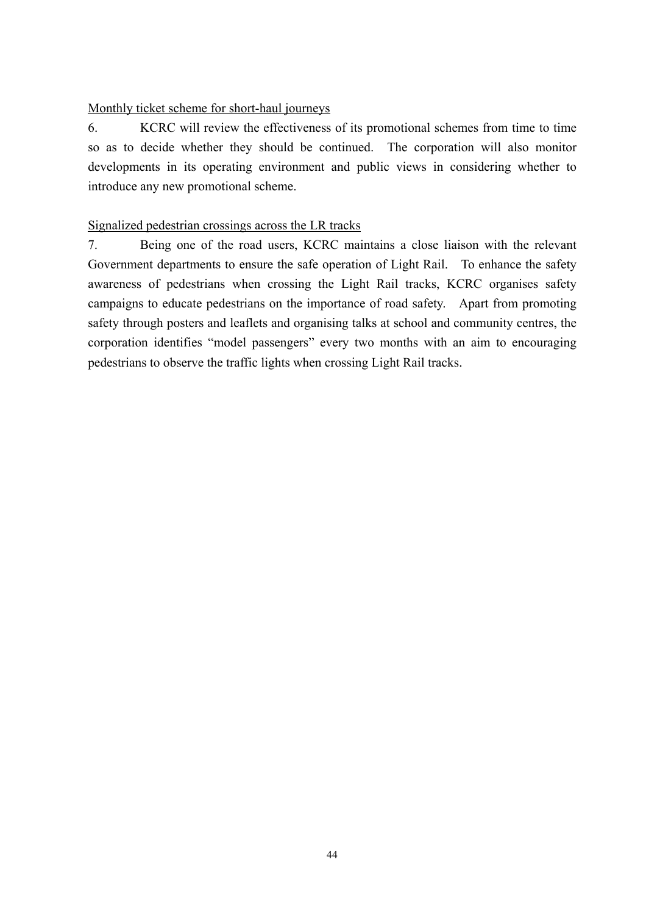### Monthly ticket scheme for short-haul journeys

6. KCRC will review the effectiveness of its promotional schemes from time to time so as to decide whether they should be continued. The corporation will also monitor developments in its operating environment and public views in considering whether to introduce any new promotional scheme.

### Signalized pedestrian crossings across the LR tracks

7. Being one of the road users, KCRC maintains a close liaison with the relevant Government departments to ensure the safe operation of Light Rail. To enhance the safety awareness of pedestrians when crossing the Light Rail tracks, KCRC organises safety campaigns to educate pedestrians on the importance of road safety. Apart from promoting safety through posters and leaflets and organising talks at school and community centres, the corporation identifies "model passengers" every two months with an aim to encouraging pedestrians to observe the traffic lights when crossing Light Rail tracks.